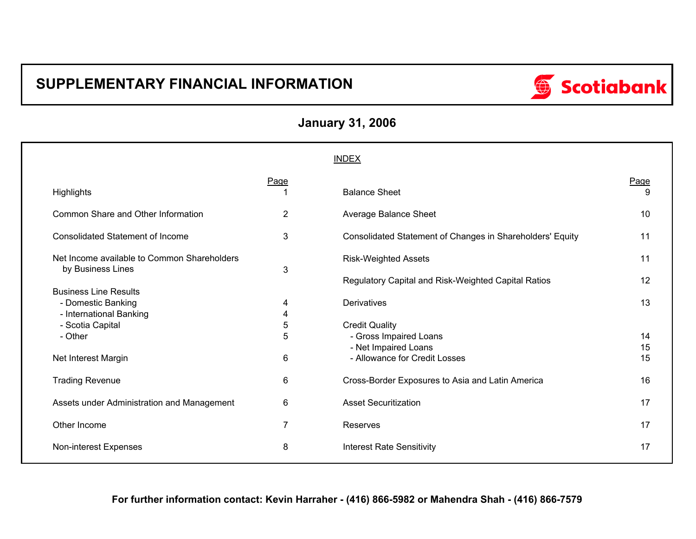# **SUPPLEMENTARY FINANCIAL INFORMATION**



| <b>January 31, 2006</b> |  |  |  |
|-------------------------|--|--|--|
|-------------------------|--|--|--|

|                                                                  |                | <b>INDEX</b>                                              |           |
|------------------------------------------------------------------|----------------|-----------------------------------------------------------|-----------|
| Highlights                                                       | Page           | <b>Balance Sheet</b>                                      | Page<br>9 |
| Common Share and Other Information                               | 2              | Average Balance Sheet                                     | 10        |
| <b>Consolidated Statement of Income</b>                          | 3              | Consolidated Statement of Changes in Shareholders' Equity | 11        |
| Net Income available to Common Shareholders<br>by Business Lines | 3              | <b>Risk-Weighted Assets</b>                               | 11        |
| <b>Business Line Results</b>                                     |                | Regulatory Capital and Risk-Weighted Capital Ratios       | 12        |
| - Domestic Banking<br>- International Banking                    | 4<br>4         | <b>Derivatives</b>                                        | 13        |
| - Scotia Capital                                                 | 5              | <b>Credit Quality</b>                                     |           |
| - Other                                                          | 5              | - Gross Impaired Loans                                    | 14<br>15  |
| Net Interest Margin                                              | 6              | - Net Impaired Loans<br>- Allowance for Credit Losses     | 15        |
| <b>Trading Revenue</b>                                           | 6              | Cross-Border Exposures to Asia and Latin America          | 16        |
| Assets under Administration and Management                       | 6              | <b>Asset Securitization</b>                               | 17        |
| Other Income                                                     | $\overline{7}$ | Reserves                                                  | 17        |
| Non-interest Expenses                                            | 8              | <b>Interest Rate Sensitivity</b>                          | 17        |

### **For further information contact: Kevin Harraher - (416) 866-5982 or Mahendra Shah - (416) 866-7579**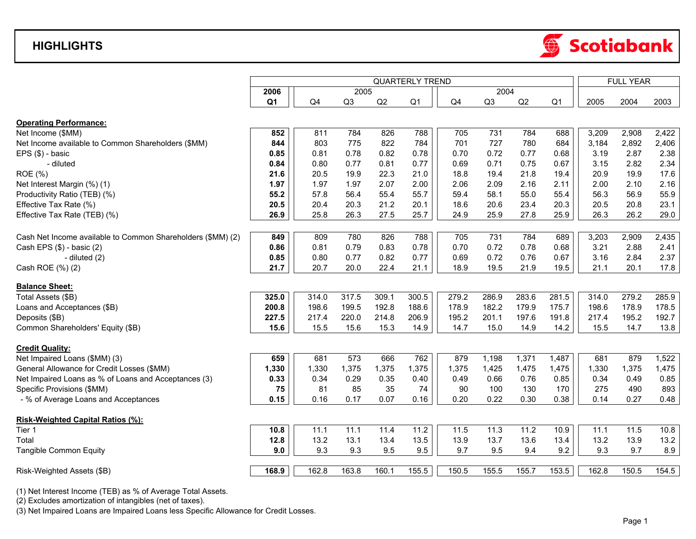## **HIGHLIGHTS**



|                                                             | <b>QUARTERLY TREND</b> |                |       |       |                |       |       |       |                |       | <b>FULL YEAR</b> |       |  |
|-------------------------------------------------------------|------------------------|----------------|-------|-------|----------------|-------|-------|-------|----------------|-------|------------------|-------|--|
|                                                             | 2006                   |                | 2005  |       |                |       | 2004  |       |                |       |                  |       |  |
|                                                             | Q <sub>1</sub>         | Q <sub>4</sub> | Q3    | Q2    | Q <sub>1</sub> | Q4    | Q3    | Q2    | Q <sub>1</sub> | 2005  | 2004             | 2003  |  |
|                                                             |                        |                |       |       |                |       |       |       |                |       |                  |       |  |
| <b>Operating Performance:</b>                               |                        |                |       |       |                |       |       |       |                |       |                  |       |  |
| Net Income (\$MM)                                           | 852                    | 811            | 784   | 826   | 788            | 705   | 731   | 784   | 688            | 3,209 | 2,908            | 2,422 |  |
| Net Income available to Common Shareholders (\$MM)          | 844                    | 803            | 775   | 822   | 784            | 701   | 727   | 780   | 684            | 3,184 | 2,892            | 2,406 |  |
| EPS (\$) - basic                                            | 0.85                   | 0.81           | 0.78  | 0.82  | 0.78           | 0.70  | 0.72  | 0.77  | 0.68           | 3.19  | 2.87             | 2.38  |  |
| - diluted                                                   | 0.84                   | 0.80           | 0.77  | 0.81  | 0.77           | 0.69  | 0.71  | 0.75  | 0.67           | 3.15  | 2.82             | 2.34  |  |
| ROE (%)                                                     | 21.6                   | 20.5           | 19.9  | 22.3  | 21.0           | 18.8  | 19.4  | 21.8  | 19.4           | 20.9  | 19.9             | 17.6  |  |
| Net Interest Margin (%) (1)                                 | 1.97                   | 1.97           | 1.97  | 2.07  | 2.00           | 2.06  | 2.09  | 2.16  | 2.11           | 2.00  | 2.10             | 2.16  |  |
| Productivity Ratio (TEB) (%)                                | 55.2                   | 57.8           | 56.4  | 55.4  | 55.7           | 59.4  | 58.1  | 55.0  | 55.4           | 56.3  | 56.9             | 55.9  |  |
| Effective Tax Rate (%)                                      | 20.5                   | 20.4           | 20.3  | 21.2  | 20.1           | 18.6  | 20.6  | 23.4  | 20.3           | 20.5  | 20.8             | 23.1  |  |
| Effective Tax Rate (TEB) (%)                                | 26.9                   | 25.8           | 26.3  | 27.5  | 25.7           | 24.9  | 25.9  | 27.8  | 25.9           | 26.3  | 26.2             | 29.0  |  |
| Cash Net Income available to Common Shareholders (\$MM) (2) | 849                    | 809            | 780   | 826   | 788            | 705   | 731   | 784   | 689            | 3,203 | 2,909            | 2,435 |  |
| Cash EPS (\$) - basic (2)                                   | 0.86                   | 0.81           | 0.79  | 0.83  | 0.78           | 0.70  | 0.72  | 0.78  | 0.68           | 3.21  | 2.88             | 2.41  |  |
|                                                             | 0.85                   | 0.80           | 0.77  | 0.82  | 0.77           | 0.69  | 0.72  | 0.76  | 0.67           | 3.16  | 2.84             | 2.37  |  |
| - diluted (2)                                               |                        |                |       |       |                |       |       |       |                |       |                  |       |  |
| Cash ROE (%) (2)                                            | 21.7                   | 20.7           | 20.0  | 22.4  | 21.1           | 18.9  | 19.5  | 21.9  | 19.5           | 21.1  | 20.1             | 17.8  |  |
| <b>Balance Sheet:</b>                                       |                        |                |       |       |                |       |       |       |                |       |                  |       |  |
| Total Assets (\$B)                                          | 325.0                  | 314.0          | 317.5 | 309.1 | 300.5          | 279.2 | 286.9 | 283.6 | 281.5          | 314.0 | 279.2            | 285.9 |  |
| Loans and Acceptances (\$B)                                 | 200.8                  | 198.6          | 199.5 | 192.8 | 188.6          | 178.9 | 182.2 | 179.9 | 175.7          | 198.6 | 178.9            | 178.5 |  |
| Deposits (\$B)                                              | 227.5                  | 217.4          | 220.0 | 214.8 | 206.9          | 195.2 | 201.1 | 197.6 | 191.8          | 217.4 | 195.2            | 192.7 |  |
| Common Shareholders' Equity (\$B)                           | 15.6                   | 15.5           | 15.6  | 15.3  | 14.9           | 14.7  | 15.0  | 14.9  | 14.2           | 15.5  | 14.7             | 13.8  |  |
| <b>Credit Quality:</b>                                      |                        |                |       |       |                |       |       |       |                |       |                  |       |  |
| Net Impaired Loans (\$MM) (3)                               | 659                    | 681            | 573   | 666   | 762            | 879   | 1,198 | 1,371 | 1,487          | 681   | 879              | 1,522 |  |
| General Allowance for Credit Losses (\$MM)                  | 1,330                  | 1,330          | 1,375 | 1,375 | 1,375          | 1,375 | 1,425 | 1,475 | 1,475          | 1,330 | 1,375            | 1,475 |  |
| Net Impaired Loans as % of Loans and Acceptances (3)        | 0.33                   | 0.34           | 0.29  | 0.35  | 0.40           | 0.49  | 0.66  | 0.76  | 0.85           | 0.34  | 0.49             | 0.85  |  |
| Specific Provisions (\$MM)                                  | 75                     | 81             | 85    | 35    | 74             | 90    | 100   | 130   | 170            | 275   | 490              | 893   |  |
| - % of Average Loans and Acceptances                        | 0.15                   | 0.16           | 0.17  | 0.07  | 0.16           | 0.20  | 0.22  | 0.30  | 0.38           | 0.14  | 0.27             | 0.48  |  |
| Risk-Weighted Capital Ratios (%):                           |                        |                |       |       |                |       |       |       |                |       |                  |       |  |
| Tier 1                                                      | 10.8                   | 11.1           | 11.1  | 11.4  | 11.2           | 11.5  | 11.3  | 11.2  | 10.9           | 11.1  | 11.5             | 10.8  |  |
| Total                                                       | 12.8                   | 13.2           | 13.1  | 13.4  | 13.5           | 13.9  | 13.7  | 13.6  | 13.4           | 13.2  | 13.9             | 13.2  |  |
| Tangible Common Equity                                      | 9.0                    | 9.3            | 9.3   | 9.5   | 9.5            | 9.7   | 9.5   | 9.4   | 9.2            | 9.3   | 9.7              | 8.9   |  |
|                                                             |                        |                |       |       |                |       |       |       |                |       |                  |       |  |
| Risk-Weighted Assets (\$B)                                  | 168.9                  | 162.8          | 163.8 | 160.1 | 155.5          | 150.5 | 155.5 | 155.7 | 153.5          | 162.8 | 150.5            | 154.5 |  |
|                                                             |                        |                |       |       |                |       |       |       |                |       |                  |       |  |

(1) Net Interest Income (TEB) as % of Average Total Assets.

(2) Excludes amortization of intangibles (net of taxes).

(3) Net Impaired Loans are Impaired Loans less Specific Allowance for Credit Losses.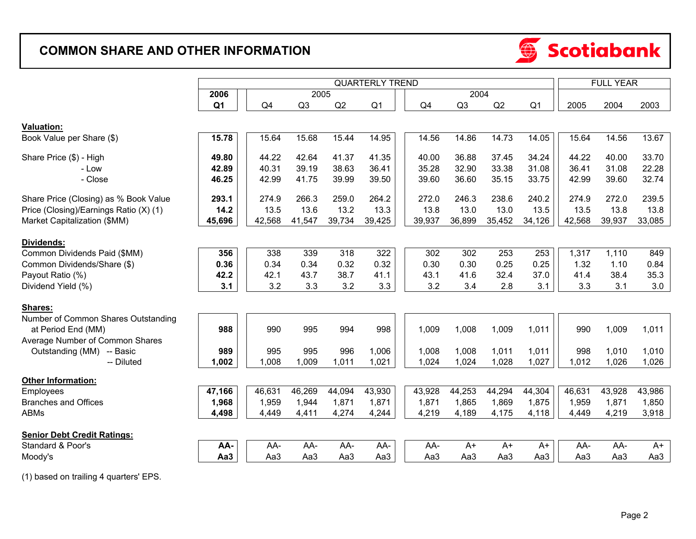# **COMMON SHARE AND OTHER INFORMATION**



|                                        | <b>QUARTERLY TREND</b> |        |        |        |                |  |        |        |        |                | <b>FULL YEAR</b> |        |        |  |
|----------------------------------------|------------------------|--------|--------|--------|----------------|--|--------|--------|--------|----------------|------------------|--------|--------|--|
|                                        | 2006                   |        | 2005   |        |                |  |        | 2004   |        |                |                  |        |        |  |
|                                        | Q <sub>1</sub>         | Q4     | Q3     | Q2     | Q <sub>1</sub> |  | Q4     | Q3     | Q2     | Q <sub>1</sub> | 2005             | 2004   | 2003   |  |
|                                        |                        |        |        |        |                |  |        |        |        |                |                  |        |        |  |
| <b>Valuation:</b>                      |                        |        |        |        |                |  |        |        |        |                |                  |        |        |  |
| Book Value per Share (\$)              | 15.78                  | 15.64  | 15.68  | 15.44  | 14.95          |  | 14.56  | 14.86  | 14.73  | 14.05          | 15.64            | 14.56  | 13.67  |  |
| Share Price (\$) - High                | 49.80                  | 44.22  | 42.64  | 41.37  | 41.35          |  | 40.00  | 36.88  | 37.45  | 34.24          | 44.22            | 40.00  | 33.70  |  |
| - Low                                  | 42.89                  | 40.31  | 39.19  | 38.63  | 36.41          |  | 35.28  | 32.90  | 33.38  | 31.08          | 36.41            | 31.08  | 22.28  |  |
| - Close                                | 46.25                  | 42.99  | 41.75  | 39.99  | 39.50          |  | 39.60  | 36.60  | 35.15  | 33.75          | 42.99            | 39.60  | 32.74  |  |
| Share Price (Closing) as % Book Value  | 293.1                  | 274.9  | 266.3  | 259.0  | 264.2          |  | 272.0  | 246.3  | 238.6  | 240.2          | 274.9            | 272.0  | 239.5  |  |
| Price (Closing)/Earnings Ratio (X) (1) | 14.2                   | 13.5   | 13.6   | 13.2   | 13.3           |  | 13.8   | 13.0   | 13.0   | 13.5           | 13.5             | 13.8   | 13.8   |  |
| Market Capitalization (\$MM)           | 45,696                 | 42,568 | 41,547 | 39,734 | 39,425         |  | 39,937 | 36,899 | 35,452 | 34,126         | 42,568           | 39,937 | 33,085 |  |
|                                        |                        |        |        |        |                |  |        |        |        |                |                  |        |        |  |
| <b>Dividends:</b>                      |                        |        |        |        |                |  |        |        |        |                |                  |        |        |  |
| Common Dividends Paid (\$MM)           | 356                    | 338    | 339    | 318    | 322            |  | 302    | 302    | 253    | 253            | 1,317            | 1,110  | 849    |  |
| Common Dividends/Share (\$)            | 0.36                   | 0.34   | 0.34   | 0.32   | 0.32           |  | 0.30   | 0.30   | 0.25   | 0.25           | 1.32             | 1.10   | 0.84   |  |
| Payout Ratio (%)                       | 42.2                   | 42.1   | 43.7   | 38.7   | 41.1           |  | 43.1   | 41.6   | 32.4   | 37.0           | 41.4             | 38.4   | 35.3   |  |
| Dividend Yield (%)                     | 3.1                    | 3.2    | 3.3    | 3.2    | 3.3            |  | 3.2    | 3.4    | 2.8    | 3.1            | 3.3              | 3.1    | 3.0    |  |
|                                        |                        |        |        |        |                |  |        |        |        |                |                  |        |        |  |
| Shares:                                |                        |        |        |        |                |  |        |        |        |                |                  |        |        |  |
| Number of Common Shares Outstanding    |                        |        |        |        |                |  |        |        |        |                |                  |        |        |  |
| at Period End (MM)                     | 988                    | 990    | 995    | 994    | 998            |  | 1,009  | 1,008  | 1,009  | 1,011          | 990              | 1,009  | 1,011  |  |
| Average Number of Common Shares        |                        |        |        |        |                |  |        |        |        |                |                  |        |        |  |
| Outstanding (MM) -- Basic              | 989                    | 995    | 995    | 996    | 1,006          |  | 1,008  | 1,008  | 1,011  | 1,011          | 998              | 1,010  | 1,010  |  |
| -- Diluted                             | 1,002                  | 1,008  | 1,009  | 1,011  | 1,021          |  | 1,024  | 1,024  | 1,028  | 1,027          | 1,012            | 1,026  | 1,026  |  |
| <b>Other Information:</b>              |                        |        |        |        |                |  |        |        |        |                |                  |        |        |  |
| Employees                              | 47,166                 | 46,631 | 46,269 | 44,094 | 43,930         |  | 43,928 | 44,253 | 44,294 | 44,304         | 46,631           | 43,928 | 43,986 |  |
| <b>Branches and Offices</b>            | 1,968                  | 1,959  | 1,944  | 1,871  | 1,871          |  | 1,871  | 1,865  | 1,869  | 1,875          | 1,959            | 1,871  | 1,850  |  |
| <b>ABMs</b>                            | 4,498                  | 4,449  | 4,411  | 4,274  | 4,244          |  | 4,219  | 4,189  | 4,175  | 4,118          | 4,449            | 4,219  | 3,918  |  |
|                                        |                        |        |        |        |                |  |        |        |        |                |                  |        |        |  |
| <b>Senior Debt Credit Ratings:</b>     |                        |        |        |        |                |  |        |        |        |                |                  |        |        |  |
| Standard & Poor's                      | AA-                    | AA-    | AA-    | AA-    | AA-            |  | AA-    | $A+$   | $A+$   | $A+$           | AA-              | AA-    | A+     |  |
| Moody's                                | Aa3                    | Aa3    | Aa3    | Aa3    | Aa3            |  | Aa3    | Aa3    | Aa3    | Aa3            | Aa3              | Aa3    | Aa3    |  |

(1) based on trailing 4 quarters' EPS.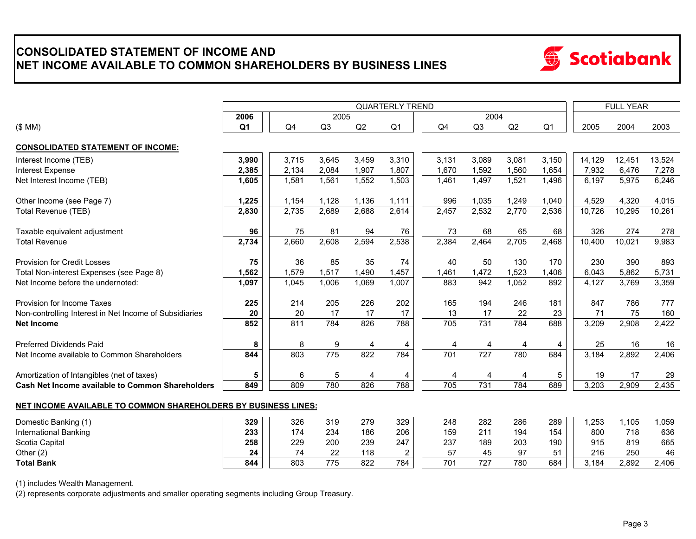## **CONSOLIDATED STATEMENT OF INCOME AND NET INCOME AVAILABLE TO COMMON SHAREHOLDERS BY BUSINESS LINES**



|                                                        | <b>QUARTERLY TREND</b> |                |                |       |                |  |       |       |       |                |        | <b>FULL YEAR</b> |        |  |  |
|--------------------------------------------------------|------------------------|----------------|----------------|-------|----------------|--|-------|-------|-------|----------------|--------|------------------|--------|--|--|
|                                                        | 2006                   |                | 2005           |       |                |  |       | 2004  |       |                |        |                  |        |  |  |
| (\$MM)                                                 | Q <sub>1</sub>         | Q <sub>4</sub> | Q <sub>3</sub> | Q2    | Q <sub>1</sub> |  | Q4    | Q3    | Q2    | Q <sub>1</sub> | 2005   | 2004             | 2003   |  |  |
| <b>CONSOLIDATED STATEMENT OF INCOME:</b>               |                        |                |                |       |                |  |       |       |       |                |        |                  |        |  |  |
| Interest Income (TEB)                                  | 3,990                  | 3,715          | 3.645          | 3,459 | 3,310          |  | 3.131 | 3,089 | 3.081 | 3,150          | 14,129 | 12,451           | 13,524 |  |  |
| Interest Expense                                       | 2,385                  | 2,134          | 2,084          | 1,907 | 1,807          |  | 1,670 | 1,592 | ,560  | 1,654          | 7,932  | 6,476            | 7,278  |  |  |
| Net Interest Income (TEB)                              | 1,605                  | 1,581          | 1,561          | 1,552 | 1.503          |  | 1,461 | 1,497 | 1,521 | 1,496          | 6.197  | 5,975            | 6,246  |  |  |
| Other Income (see Page 7)                              | 1,225                  | 1,154          | 1.128          | 1.136 | 1,111          |  | 996   | 1,035 | 1,249 | 1,040          | 4,529  | 4,320            | 4,015  |  |  |
| Total Revenue (TEB)                                    | 2,830                  | 2,735          | 2,689          | 2,688 | 2,614          |  | 2,457 | 2,532 | 2,770 | 2,536          | 10,726 | 10,295           | 10,261 |  |  |
| Taxable equivalent adjustment                          | 96                     | 75             | 81             | 94    | 76             |  | 73    | 68    | 65    | 68             | 326    | 274              | 278    |  |  |
| <b>Total Revenue</b>                                   | 2,734                  | 2,660          | 2,608          | 2,594 | 2,538          |  | 2,384 | 2,464 | 2,705 | 2,468          | 10,400 | 10,021           | 9,983  |  |  |
| <b>Provision for Credit Losses</b>                     | 75                     | 36             | 85             | 35    | 74             |  | 40    | 50    | 130   | 170            | 230    | 390              | 893    |  |  |
| Total Non-interest Expenses (see Page 8)               | 1,562                  | 1,579          | 1,517          | 1,490 | 1,457          |  | 1,461 | 1,472 | 1,523 | 1,406          | 6,043  | 5,862            | 5,731  |  |  |
| Net Income before the undernoted:                      | 1,097                  | 1.045          | 1.006          | 1,069 | 1,007          |  | 883   | 942   | 1,052 | 892            | 4,127  | 3.769            | 3,359  |  |  |
| Provision for Income Taxes                             | 225                    | 214            | 205            | 226   | 202            |  | 165   | 194   | 246   | 181            | 847    | 786              | 777    |  |  |
| Non-controlling Interest in Net Income of Subsidiaries | 20                     | 20             | 17             | 17    | 17             |  | 13    | 17    | 22    | 23             | 71     | 75               | 160    |  |  |
| <b>Net Income</b>                                      | 852                    | 811            | 784            | 826   | 788            |  | 705   | 731   | 784   | 688            | 3,209  | 2,908            | 2,422  |  |  |
| <b>Preferred Dividends Paid</b>                        | 8                      | 8              | 9              | 4     | 4              |  |       | 4     |       |                | 25     | 16               | 16     |  |  |
| Net Income available to Common Shareholders            | 844                    | 803            | 775            | 822   | 784            |  | 701   | 727   | 780   | 684            | 3,184  | 2,892            | 2,406  |  |  |
| Amortization of Intangibles (net of taxes)             | 5                      | 6              | 5              | 4     | 4              |  | 4     | 4     | ⊿     | 5              | 19     | 17               | 29     |  |  |
| Cash Net Income available to Common Shareholders       | 849                    | 809            | 780            | 826   | 788            |  | 705   | 731   | 784   | 689            | 3,203  | 2,909            | 2,435  |  |  |

#### **NET INCOME AVAILABLE TO COMMON SHAREHOLDERS BY BUSINESS LINES:**

| Domestic Banking (1)         | 329 | 326 | 319        | 279 | 329    | 248 | 282 | 286 | 289 | .253  | .105  | .059  |
|------------------------------|-----|-----|------------|-----|--------|-----|-----|-----|-----|-------|-------|-------|
| <b>International Banking</b> | 233 | 174 | 234        | 186 | 206    | 159 | 04. | 194 | 154 | 800   | 718   | 636   |
| Scotia Capital               | 258 | 229 | 200        | 239 | 247    | 237 | 189 | 203 | 190 | 915   | 819   | 665   |
| Other $(2)$                  | 24  | 74  | ົ<br>∸∸    | 118 | $\sim$ | 57  | 45  |     |     | 216   | 250   | 46    |
| <b>Total Bank</b>            | 844 | 803 | 775<br>ن ، | 822 | 784    | 70٬ | 727 | 780 | 684 | 3.184 | 2,892 | 2,406 |

(1) includes Wealth Management.

(2) represents corporate adjustments and smaller operating segments including Group Treasury.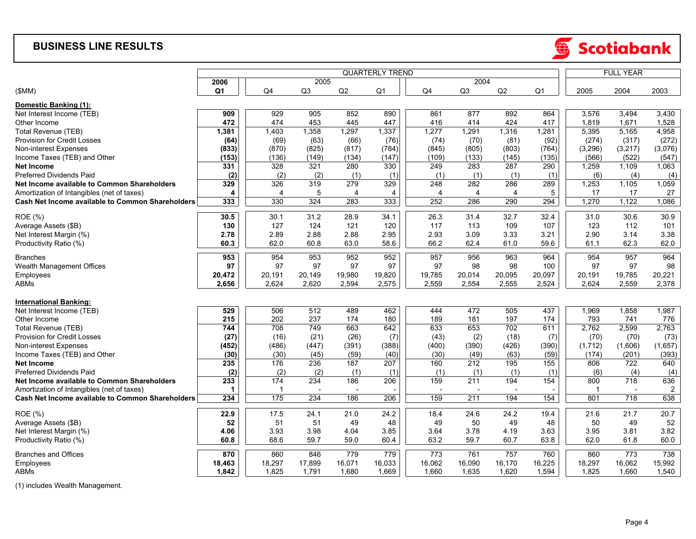### **BUSINESS LINE RESULTS**



|                                                  |                |        |                | <b>FULL YEAR</b>         |                        |                |                |        |                 |             |         |                         |
|--------------------------------------------------|----------------|--------|----------------|--------------------------|------------------------|----------------|----------------|--------|-----------------|-------------|---------|-------------------------|
|                                                  | 2006           |        | 2005           |                          | <b>QUARTERLY TREND</b> |                | 2004           |        |                 |             |         |                         |
| (SMM)                                            | Q <sub>1</sub> | Q4     | Q <sub>3</sub> | Q2                       | Q <sub>1</sub>         | Q4             | Q <sub>3</sub> | Q2     | Q1              | 2005        | 2004    | 2003                    |
| Domestic Banking (1):                            |                |        |                |                          |                        |                |                |        |                 |             |         |                         |
| Net Interest Income (TEB)                        | 909            | 929    | 905            | 852                      | 890                    | 861            | 877            | 892    | 864             | 3,576       | 3,494   | 3,430                   |
| Other Income                                     | 472            | 474    | 453            | 445                      | 447                    | 416            | 414            | 424    | 417             | 1,819       | 1,671   | 1,528                   |
| Total Revenue (TEB)                              | 1,381          | 1,403  | 1,358          | 1,297                    | 1,337                  | 1,277          | 1,291          | 1,316  | 1,281           | 5,395       | 5,165   | 4,958                   |
| Provision for Credit Losses                      | (64)           | (69)   | (63)           | (66)                     | (76)                   | (74)           | (70)           | (81)   | (92)            | (274)       | (317)   | (272)                   |
| Non-interest Expenses                            | (833)          | (870)  | (825)          | (817)                    | (784)                  | (845)          | (805)          | (803)  | (764)           | (3, 296)    | (3,217) | (3,076)                 |
| Income Taxes (TEB) and Other                     | (153)          | (136)  | (149)          | (134)                    | (147)                  | (109)          | (133)          | (145)  | (135)           | (566)       | (522)   | (547)                   |
| <b>Net Income</b>                                | 331            | 328    | 321            | 280                      | 330                    | 249            | 283            | 287    | 290             | 1,259       | 1,109   | 1,063                   |
| <b>Preferred Dividends Paid</b>                  | (2)            | (2)    | (2)            | (1)                      | (1)                    | (1)            | (1)            | (1)    | (1)             | (6)         | (4)     | (4)                     |
| Net Income available to Common Shareholders      | 329            | 326    | 319            | 279                      | 329                    | 248            | 282            | 286    | 289             | 1,253       | 1,105   | 1,059                   |
| Amortization of Intangibles (net of taxes)       | 4              | 4      | 5              | $\overline{4}$           | 4                      | $\overline{4}$ | 4              | 4      | 5               | 17          | 17      | 27                      |
| Cash Net Income available to Common Shareholders | 333            | 330    | 324            | 283                      | 333                    | 252            | 286            | 290    | 294             | 1,270       | 1,122   | 1,086                   |
| <b>ROE</b> (%)                                   | 30.5           | 30.1   | 31.2           | 28.9                     | 34.1                   | 26.3           | 31.4           | 32.7   | 32.4            | 31.0        | 30.6    | 30.9                    |
| Average Assets (\$B)                             | 130            | 127    | 124            | 121                      | 120                    | 117            | 113            | 109    | 107             | 123         | 112     | 101                     |
| Net Interest Margin (%)                          | 2.78           | 2.89   | 2.88           | 2.88                     | 2.95                   | 2.93           | 3.09           | 3.33   | 3.21            | 2.90        | 3.14    | 3.38                    |
| Productivity Ratio (%)                           | 60.3           | 62.0   | 60.8           | 63.0                     | 58.6                   | 66.2           | 62.4           | 61.0   | 59.6            | 61.1        | 62.3    | 62.0                    |
| <b>Branches</b>                                  | 953            | 954    | 953            | 952                      | 952                    | 957            | 956            | 963    | 964             | 954         | 957     | 964                     |
| Wealth Management Offices                        | 97             | 97     | 97             | 97                       | 97                     | 97             | 98             | 98     | 100             | 97          | 97      | 98                      |
| Employees                                        | 20,472         | 20,191 | 20,149         | 19,980                   | 19,820                 | 19,785         | 20,014         | 20,095 | 20,097          | 20,191      | 19,785  | 20,221                  |
| ABMs                                             | 2,656          | 2,624  | 2,620          | 2,594                    | 2,575                  | 2,559          | 2,554          | 2,555  | 2,524           | 2,624       | 2,559   | 2,378                   |
| <b>International Banking:</b>                    |                |        |                |                          |                        |                |                |        |                 |             |         |                         |
| Net Interest Income (TEB)                        | 529            | 506    | 512            | 489                      | 462                    | 444            | 472            | 505    | 437             | 1,969       | 1,858   | 1,987                   |
| Other Income                                     | 215            | 202    | 237            | 174                      | 180                    | 189            | 181            | 197    | 174             | 793         | 741     | 776                     |
| Total Revenue (TEB)                              | 744            | 708    | 749            | 663                      | 642                    | 633            | 653            | 702    | 611             | 2,762       | 2,599   | 2,763                   |
| Provision for Credit Losses                      | (27)           | (16)   | (21)           | (26)                     | (7)                    | (43)           | (2)            | (18)   | (7)             | (70)        | (70)    | (73)                    |
| Non-interest Expenses                            | (452)          | (486)  | (447)          | (391)                    | (388)                  | (400)          | (390)          | (426)  | (390)           | (1,712)     | (1,606) | (1,657)                 |
| Income Taxes (TEB) and Other                     | (30)           | (30)   | (45)           | (59)                     | (40)                   | (30)           | (49)           | (63)   | (59)            | (174)       | (201)   | (393)                   |
| <b>Net Income</b>                                | 235            | 176    | 236            | 187                      | 207                    | 160            | 212            | 195    | 155             | 806         | 722     | 640                     |
| <b>Preferred Dividends Paid</b>                  | (2)            | (2)    | (2)            | (1)                      | (1)                    | (1)            | (1)            | (1)    | (1)             | (6)         | (4)     | (4)                     |
| Net Income available to Common Shareholders      | 233            | 174    | 234            | 186                      | 206                    | 159            | 211            | 194    | 154             | 800         | 718     | 636                     |
| Amortization of Intangibles (net of taxes)       | 1              |        |                | $\overline{\phantom{a}}$ |                        |                |                |        |                 | $\mathbf 1$ |         | $\overline{\mathbf{c}}$ |
| Cash Net Income available to Common Shareholders | 234            | 175    | 234            | 186                      | 206                    | 159            | 211            | 194    | $\frac{154}{ }$ | 801         | 718     | 638                     |
| <b>ROE</b> (%)                                   | 22.9           | 17.5   | 24.1           | 21.0                     | 24.2                   | 18.4           | 24.6           | 24.2   | 19.4            | 21.6        | 21.7    | 20.7                    |
| Average Assets (\$B)                             | 52             | 51     | 51             | 49                       | 48                     | 49             | 50             | 49     | 48              | 50          | 49      | 52                      |
| Net Interest Margin (%)                          | 4.06           | 3.93   | 3.98           | 4.04                     | 3.85                   | 3.64           | 3.78           | 4.19   | 3.63            | 3.95        | 3.81    | 3.82                    |
| Productivity Ratio (%)                           | 60.8           | 68.6   | 59.7           | 59.0                     | 60.4                   | 63.2           | 59.7           | 60.7   | 63.8            | 62.0        | 61.8    | 60.0                    |
| <b>Branches and Offices</b>                      | 870            | 860    | 846            | 779                      | 779                    | 773            | 761            | 757    | 760             | 860         | 773     | 738                     |
| Employees                                        | 18,463         | 18,297 | 17,899         | 16,071                   | 16,033                 | 16,062         | 16,090         | 16,170 | 16,225          | 18,297      | 16,062  | 15,992                  |
| ABMs                                             | 1,842          | 1,825  | 1,791          | 1,680                    | 1,669                  | 1,660          | 1,635          | 1,620  | 1,594           | 1,825       | 1,660   | 1,540                   |

(1) includes Wealth Management.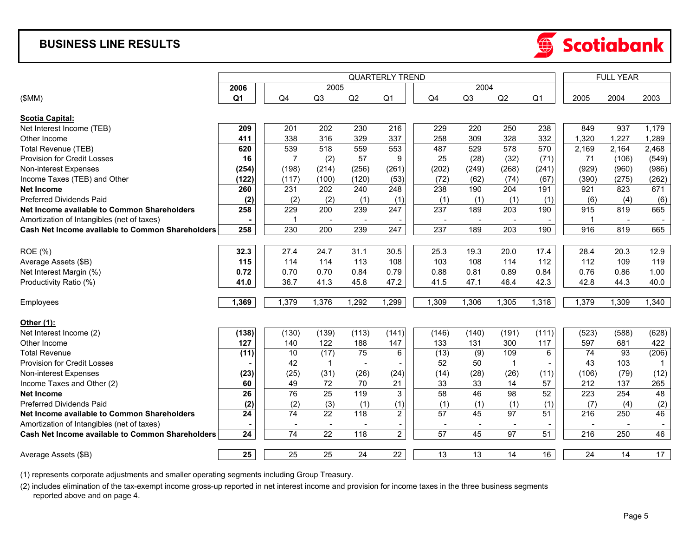### **BUSINESS LINE RESULTS**



|                                                         | <b>QUARTERLY TREND</b> |                          |                 |        |                          |                          |                          |                          |                 |                          | <b>FULL YEAR</b> |       |  |  |
|---------------------------------------------------------|------------------------|--------------------------|-----------------|--------|--------------------------|--------------------------|--------------------------|--------------------------|-----------------|--------------------------|------------------|-------|--|--|
|                                                         | 2006                   |                          | 2005            |        |                          |                          | 2004                     |                          |                 |                          |                  |       |  |  |
| (SMM)                                                   | Q <sub>1</sub>         | Q4                       | Q <sub>3</sub>  | Q2     | Q <sub>1</sub>           | Q4                       | Q <sub>3</sub>           | Q2                       | Q <sub>1</sub>  | 2005                     | 2004             | 2003  |  |  |
| <b>Scotia Capital:</b>                                  |                        |                          |                 |        |                          |                          |                          |                          |                 |                          |                  |       |  |  |
| Net Interest Income (TEB)                               | 209                    | 201                      | 202             | 230    | 216                      | 229                      | 220                      | 250                      | 238             | 849                      | 937              | 1,179 |  |  |
| Other Income                                            | 411                    | 338                      | 316             | 329    | 337                      | 258                      | 309                      | 328                      | 332             | 1,320                    | 1,227            | 1,289 |  |  |
| Total Revenue (TEB)                                     | 620                    | 539                      | 518             | 559    | 553                      | 487                      | 529                      | 578                      | 570             | 2,169                    | 2,164            | 2,468 |  |  |
| Provision for Credit Losses                             | 16                     | $\overline{7}$           | (2)             | 57     | 9                        | 25                       | (28)                     | (32)                     | (71)            | 71                       | (106)            | (549) |  |  |
| Non-interest Expenses                                   | (254)                  | (198)                    | (214)           | (256)  | (261)                    | (202)                    | (249)                    | (268)                    | (241)           | (929)                    | (960)            | (986) |  |  |
| Income Taxes (TEB) and Other                            | (122)                  | (117)                    | (100)           | (120)  | (53)                     | (72)                     | (62)                     | (74)                     | (67)            | (390)                    | (275)            | (262) |  |  |
| <b>Net Income</b>                                       | 260                    | 231                      | 202             | 240    | 248                      | 238                      | 190                      | 204                      | 191             | 921                      | 823              | 671   |  |  |
| <b>Preferred Dividends Paid</b>                         | (2)                    | (2)                      | (2)             | (1)    | (1)                      | (1)                      | (1)                      | (1)                      | (1)             | (6)                      | (4)              | (6)   |  |  |
| Net Income available to Common Shareholders             | 258                    | 229                      | 200             | 239    | 247                      | 237                      | 189                      | 203                      | 190             | 915                      | 819              | 665   |  |  |
| Amortization of Intangibles (net of taxes)              |                        | $\mathbf 1$              | $\blacksquare$  | $\sim$ |                          |                          |                          |                          |                 | $\overline{1}$           |                  |       |  |  |
| Cash Net Income available to Common Shareholders        | 258                    | 230                      | 200             | 239    | 247                      | 237                      | 189                      | 203                      | 190             | 916                      | 819              | 665   |  |  |
|                                                         |                        |                          |                 |        |                          |                          |                          |                          |                 |                          |                  |       |  |  |
| <b>ROE</b> (%)                                          | 32.3                   | 27.4                     | 24.7            | 31.1   | 30.5                     | 25.3                     | 19.3                     | 20.0                     | 17.4            | 28.4                     | 20.3             | 12.9  |  |  |
| Average Assets (\$B)                                    | 115                    | 114                      | 114             | 113    | 108                      | 103                      | 108                      | 114                      | 112             | 112                      | 109              | 119   |  |  |
| Net Interest Margin (%)                                 | 0.72                   | 0.70                     | 0.70            | 0.84   | 0.79                     | 0.88                     | 0.81                     | 0.89                     | 0.84            | 0.76                     | 0.86             | 1.00  |  |  |
| Productivity Ratio (%)                                  | 41.0                   | 36.7                     | 41.3            | 45.8   | 47.2                     | 41.5                     | 47.1                     | 46.4                     | 42.3            | 42.8                     | 44.3             | 40.0  |  |  |
| Employees                                               | 1,369                  | 1,379                    | 1,376           | 1,292  | 1,299                    | 1,309                    | 1,306                    | 1,305                    | 1,318           | 1,379                    | 1,309            | 1,340 |  |  |
| Other (1):                                              |                        |                          |                 |        |                          |                          |                          |                          |                 |                          |                  |       |  |  |
| Net Interest Income (2)                                 | (138)                  | (130)                    | (139)           | (113)  | (141)                    | (146)                    | (140)                    | (191)                    | (111)           | (523)                    | (588)            | (628) |  |  |
| Other Income                                            | 127                    | 140                      | 122             | 188    | 147                      | 133                      | 131                      | 300                      | 117             | 597                      | 681              | 422   |  |  |
| <b>Total Revenue</b>                                    | (11)                   | 10                       | (17)            | 75     | 6                        | (13)                     | (9)                      | 109                      | 6               | 74                       | 93               | (206) |  |  |
| <b>Provision for Credit Losses</b>                      |                        | 42                       |                 |        |                          | 52                       | 50                       | -1                       |                 | 43                       | 103              |       |  |  |
| Non-interest Expenses                                   | (23)                   | (25)                     | (31)            | (26)   | (24)                     | (14)                     | (28)                     | (26)                     | (11)            | (106)                    | (79)             | (12)  |  |  |
| Income Taxes and Other (2)                              | 60                     | 49                       | 72              | 70     | 21                       | 33                       | 33                       | 14                       | 57              | 212                      | 137              | 265   |  |  |
| <b>Net Income</b>                                       | $\overline{26}$        | 76                       | $\overline{25}$ | 119    | $\overline{3}$           | 58                       | 46                       | 98                       | 52              | $\overline{223}$         | 254              | 48    |  |  |
| <b>Preferred Dividends Paid</b>                         | (2)                    | (2)                      | (3)             | (1)    | (1)                      | (1)                      | (1)                      | (1)                      | (1)             | (7)                      | (4)              | (2)   |  |  |
| Net Income available to Common Shareholders             | 24                     | 74                       | 22              | 118    | $\overline{2}$           | 57                       | 45                       | 97                       | 51              | 216                      | 250              | 46    |  |  |
| Amortization of Intangibles (net of taxes)              |                        | $\overline{\phantom{a}}$ | $\sim$          |        | $\overline{\phantom{a}}$ | $\overline{\phantom{a}}$ | $\overline{\phantom{a}}$ | $\overline{\phantom{a}}$ | $\overline{a}$  | $\overline{\phantom{a}}$ |                  |       |  |  |
| <b>Cash Net Income available to Common Shareholders</b> | 24                     | 74                       | 22              | 118    | $\overline{2}$           | $\overline{57}$          | 45                       | $\overline{97}$          | $\overline{51}$ | 216                      | 250              | 46    |  |  |
| Average Assets (\$B)                                    | 25                     | 25                       | 25              | 24     | 22                       | 13                       | 13                       | 14                       | 16              | 24                       | 14               | 17    |  |  |

(1) represents corporate adjustments and smaller operating segments including Group Treasury.

(2) includes elimination of the tax-exempt income gross-up reported in net interest income and provision for income taxes in the three business segments reported above and on page 4.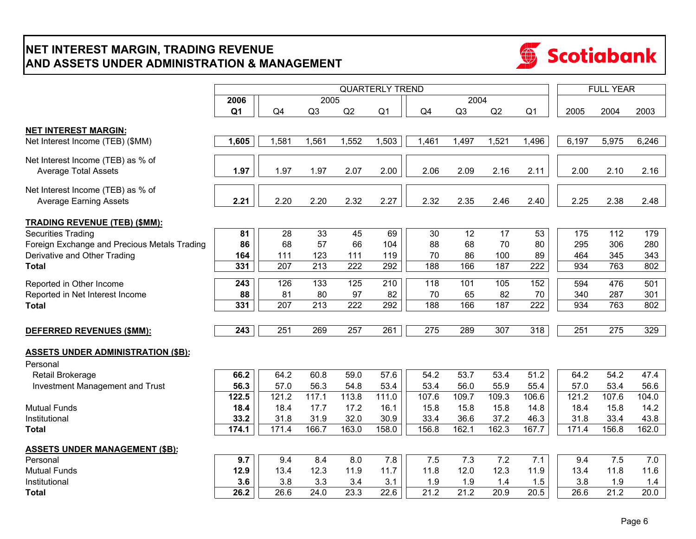## **NET INTEREST MARGIN, TRADING REVENUE AND ASSETS UNDER ADMINISTRATION & MANAGEMENT**



|                                                                    | <b>QUARTERLY TREND</b> |                  |                  |                  |                |                  |                |                 |                  |       | <b>FULL YEAR</b> |       |  |
|--------------------------------------------------------------------|------------------------|------------------|------------------|------------------|----------------|------------------|----------------|-----------------|------------------|-------|------------------|-------|--|
|                                                                    | 2006                   |                  | 2005             |                  |                |                  | 2004           |                 |                  |       |                  |       |  |
|                                                                    | Q <sub>1</sub>         | Q4               | Q <sub>3</sub>   | Q2               | Q <sub>1</sub> | Q4               | Q <sub>3</sub> | Q2              | Q <sub>1</sub>   | 2005  | 2004             | 2003  |  |
| <b>NET INTEREST MARGIN:</b>                                        |                        |                  |                  |                  |                |                  |                |                 |                  |       |                  |       |  |
| Net Interest Income (TEB) (\$MM)                                   | 1,605                  | 1,581            | 1,561            | 1,552            | 1,503          | 1,461            | 1,497          | 1,521           | 1,496            | 6,197 | 5,975            | 6,246 |  |
| Net Interest Income (TEB) as % of<br><b>Average Total Assets</b>   | 1.97                   | 1.97             | 1.97             | 2.07             | 2.00           | 2.06             | 2.09           | 2.16            | 2.11             | 2.00  | 2.10             | 2.16  |  |
| Net Interest Income (TEB) as % of<br><b>Average Earning Assets</b> | 2.21                   | 2.20             | 2.20             | 2.32             | 2.27           | 2.32             | 2.35           | 2.46            | 2.40             | 2.25  | 2.38             | 2.48  |  |
| <b>TRADING REVENUE (TEB) (\$MM):</b>                               |                        |                  |                  |                  |                |                  |                |                 |                  |       |                  |       |  |
| <b>Securities Trading</b>                                          | 81                     | $\overline{28}$  | 33               | 45               | 69             | 30               | 12             | $\overline{17}$ | 53               | 175   | 112              | 179   |  |
| Foreign Exchange and Precious Metals Trading                       | 86                     | 68               | 57               | 66               | 104            | 88               | 68             | 70              | 80               | 295   | 306              | 280   |  |
| Derivative and Other Trading                                       | 164                    | 111              | 123              | 111              | 119            | 70               | 86             | 100             | 89               | 464   | 345              | 343   |  |
| <b>Total</b>                                                       | 331                    | 207              | 213              | 222              | 292            | 188              | 166            | 187             | 222              | 934   | 763              | 802   |  |
| Reported in Other Income                                           | $\overline{243}$       | 126              | 133              | 125              | 210            | 118              | 101            | 105             | 152              | 594   | 476              | 501   |  |
| Reported in Net Interest Income                                    | 88                     | 81               | 80               | 97               | 82             | 70               | 65             | 82              | 70               | 340   | 287              | 301   |  |
| <b>Total</b>                                                       | 331                    | $\overline{207}$ | $\overline{213}$ | $\overline{222}$ | 292            | 188              | 166            | 187             | $\overline{222}$ | 934   | 763              | 802   |  |
|                                                                    |                        |                  |                  |                  |                |                  |                |                 |                  |       |                  |       |  |
| <b>DEFERRED REVENUES (\$MM):</b>                                   | $\overline{243}$       | 251              | 269              | $\overline{257}$ | 261            | $\overline{275}$ | 289            | 307             | 318              | 251   | $\overline{275}$ | 329   |  |
| <b>ASSETS UNDER ADMINISTRATION (\$B):</b>                          |                        |                  |                  |                  |                |                  |                |                 |                  |       |                  |       |  |
| Personal                                                           |                        |                  |                  |                  |                |                  |                |                 |                  |       |                  |       |  |
| Retail Brokerage                                                   | 66.2                   | 64.2             | 60.8             | 59.0             | 57.6           | 54.2             | 53.7           | 53.4            | $\frac{1}{51.2}$ | 64.2  | 54.2             | 47.4  |  |
| Investment Management and Trust                                    | 56.3                   | 57.0             | 56.3             | 54.8             | 53.4           | 53.4             | 56.0           | 55.9            | 55.4             | 57.0  | 53.4             | 56.6  |  |
|                                                                    | 122.5                  | 121.2            | 117.1            | 113.8            | 111.0          | 107.6            | 109.7          | 109.3           | 106.6            | 121.2 | 107.6            | 104.0 |  |
| <b>Mutual Funds</b>                                                | 18.4                   | 18.4             | 17.7             | 17.2             | 16.1           | 15.8             | 15.8           | 15.8            | 14.8             | 18.4  | 15.8             | 14.2  |  |
| Institutional                                                      | 33.2                   | 31.8             | 31.9             | 32.0             | 30.9           | 33.4             | 36.6           | 37.2            | 46.3             | 31.8  | 33.4             | 43.8  |  |
| <b>Total</b>                                                       | 174.1                  | 171.4            | 166.7            | 163.0            | 158.0          | 156.8            | 162.1          | 162.3           | 167.7            | 171.4 | 156.8            | 162.0 |  |
| <b>ASSETS UNDER MANAGEMENT (\$B):</b>                              |                        |                  |                  |                  |                |                  |                |                 |                  |       |                  |       |  |
| Personal                                                           | 9.7                    | 9.4              | 8.4              | 8.0              | 7.8            | 7.5              | 7.3            | 7.2             | 7.1              | 9.4   | 7.5              | 7.0   |  |
| <b>Mutual Funds</b>                                                | 12.9                   | 13.4             | 12.3             | 11.9             | 11.7           | 11.8             | 12.0           | 12.3            | 11.9             | 13.4  | 11.8             | 11.6  |  |
| Institutional                                                      | 3.6                    | 3.8              | 3.3              | 3.4              | 3.1            | 1.9              | 1.9            | 1.4             | 1.5              | 3.8   | 1.9              | 1.4   |  |
| <b>Total</b>                                                       | 26.2                   | 26.6             | 24.0             | 23.3             | 22.6           | 21.2             | 21.2           | 20.9            | 20.5             | 26.6  | 21.2             | 20.0  |  |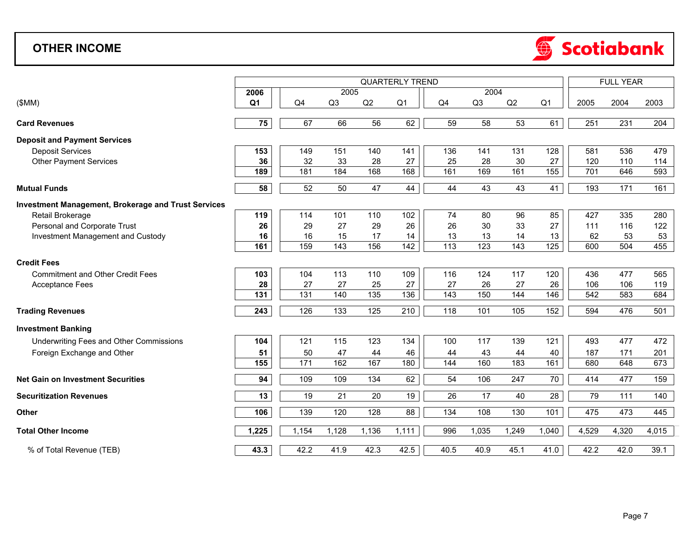## **OTHER INCOME**



|                                                            | <b>QUARTERLY TREND</b> |       |       |       |                 |      |                |       |                |       | <b>FULL YEAR</b> |       |  |  |
|------------------------------------------------------------|------------------------|-------|-------|-------|-----------------|------|----------------|-------|----------------|-------|------------------|-------|--|--|
|                                                            | 2006                   |       | 2005  |       |                 |      | 2004           |       |                |       |                  |       |  |  |
| (SMM)                                                      | Q <sub>1</sub>         | Q4    | Q3    | Q2    | Q <sub>1</sub>  | Q4   | Q <sub>3</sub> | Q2    | Q <sub>1</sub> | 2005  | 2004             | 2003  |  |  |
|                                                            |                        |       |       |       |                 |      |                |       |                |       |                  |       |  |  |
| <b>Card Revenues</b>                                       | 75                     | 67    | 66    | 56    | 62              | 59   | 58             | 53    | 61             | 251   | 231              | 204   |  |  |
| <b>Deposit and Payment Services</b>                        |                        |       |       |       |                 |      |                |       |                |       |                  |       |  |  |
| <b>Deposit Services</b>                                    | 153                    | 149   | 151   | 140   | 141             | 136  | 141            | 131   | 128            | 581   | 536              | 479   |  |  |
| <b>Other Payment Services</b>                              | 36                     | 32    | 33    | 28    | 27              | 25   | 28             | 30    | 27             | 120   | 110              | 114   |  |  |
|                                                            | 189                    | 181   | 184   | 168   | 168             | 161  | 169            | 161   | 155            | 701   | 646              | 593   |  |  |
| <b>Mutual Funds</b>                                        | 58                     | 52    | 50    | 47    | 44              | 44   | 43             | 43    | 41             | 193   | 171              | 161   |  |  |
| <b>Investment Management, Brokerage and Trust Services</b> |                        |       |       |       |                 |      |                |       |                |       |                  |       |  |  |
| Retail Brokerage                                           | 119                    | 114   | 101   | 110   | 102             | 74   | 80             | 96    | 85             | 427   | 335              | 280   |  |  |
| Personal and Corporate Trust                               | 26                     | 29    | 27    | 29    | 26              | 26   | 30             | 33    | 27             | 111   | 116              | 122   |  |  |
| Investment Management and Custody                          | 16                     | 16    | 15    | 17    | 14              | 13   | 13             | 14    | 13             | 62    | 53               | 53    |  |  |
|                                                            | 161                    | 159   | 143   | 156   | 142             | 113  | 123            | 143   | 125            | 600   | 504              | 455   |  |  |
| <b>Credit Fees</b>                                         |                        |       |       |       |                 |      |                |       |                |       |                  |       |  |  |
| <b>Commitment and Other Credit Fees</b>                    | 103                    | 104   | 113   | 110   | 109             | 116  | 124            | 117   | 120            | 436   | 477              | 565   |  |  |
| <b>Acceptance Fees</b>                                     | 28                     | 27    | 27    | 25    | 27              | 27   | 26             | 27    | 26             | 106   | 106              | 119   |  |  |
|                                                            | 131                    | 131   | 140   | 135   | $\frac{136}{ }$ | 143  | 150            | 144   | 146            | 542   | 583              | 684   |  |  |
| <b>Trading Revenues</b>                                    | 243                    | 126   | 133   | 125   | 210             | 118  | 101            | 105   | 152            | 594   | 476              | 501   |  |  |
| <b>Investment Banking</b>                                  |                        |       |       |       |                 |      |                |       |                |       |                  |       |  |  |
| Underwriting Fees and Other Commissions                    | 104                    | 121   | 115   | 123   | 134             | 100  | 117            | 139   | 121            | 493   | 477              | 472   |  |  |
| Foreign Exchange and Other                                 | 51                     | 50    | 47    | 44    | 46              | 44   | 43             | 44    | 40             | 187   | 171              | 201   |  |  |
|                                                            | 155                    | 171   | 162   | 167   | 180             | 144  | 160            | 183   | 161            | 680   | 648              | 673   |  |  |
| <b>Net Gain on Investment Securities</b>                   | 94                     | 109   | 109   | 134   | 62              | 54   | 106            | 247   | 70             | 414   | 477              | 159   |  |  |
| <b>Securitization Revenues</b>                             | 13                     | 19    | 21    | 20    | 19              | 26   | 17             | 40    | 28             | 79    | 111              | 140   |  |  |
| Other                                                      | 106                    | 139   | 120   | 128   | 88              | 134  | 108            | 130   | 101            | 475   | 473              | 445   |  |  |
| <b>Total Other Income</b>                                  | 1,225                  | 1,154 | 1,128 | 1,136 | 1,111           | 996  | 1,035          | 1,249 | 1,040          | 4,529 | 4,320            | 4,015 |  |  |
| % of Total Revenue (TEB)                                   | 43.3                   | 42.2  | 41.9  | 42.3  | 42.5            | 40.5 | 40.9           | 45.1  | 41.0           | 42.2  | 42.0             | 39.1  |  |  |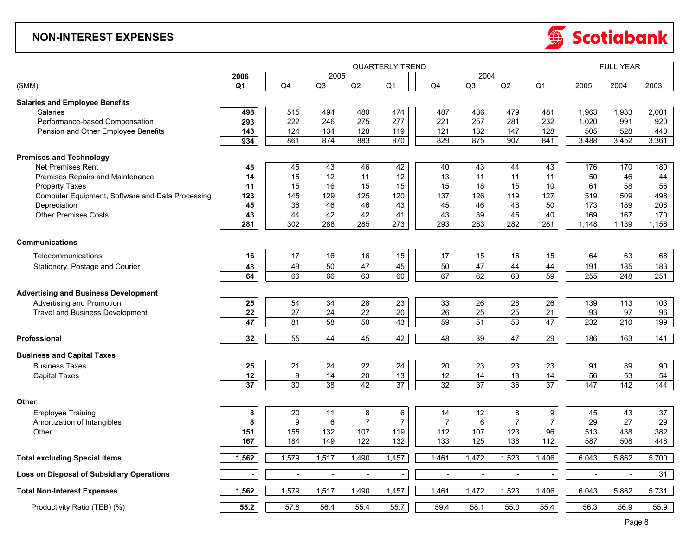#### **NON-INTEREST EXPENSES**



|                                                  | <b>QUARTERLY TREND</b> |                  |                |                |                   |                  |                       |                |                   |                | <b>FULL YEAR</b> |                  |  |  |
|--------------------------------------------------|------------------------|------------------|----------------|----------------|-------------------|------------------|-----------------------|----------------|-------------------|----------------|------------------|------------------|--|--|
|                                                  | 2006                   |                  | 2005           |                |                   |                  | 2004                  |                |                   |                |                  |                  |  |  |
| (SMM)                                            | Q <sub>1</sub>         | Q4               | Q3             | Q2             | Q <sub>1</sub>    | Q4               | Q3                    | Q2             | Q <sub>1</sub>    | 2005           | 2004             | 2003             |  |  |
| <b>Salaries and Employee Benefits</b>            |                        |                  |                |                |                   |                  |                       |                |                   |                |                  |                  |  |  |
| <b>Salaries</b>                                  | 498                    | 515              | 494            | 480            | 474               | 487              | 486                   | 479            | 481               | 1,963          | 1,933            | 2,001            |  |  |
| Performance-based Compensation                   | 293                    | 222              | 246            | 275            | 277               | 221              | 257                   | 281            | 232               | 1,020          | 991              | 920              |  |  |
| Pension and Other Employee Benefits              | 143                    | 124              | 134            | 128            | 119               | 121              | 132                   | 147            | 128               | 505            | 528              | 440              |  |  |
|                                                  | 934                    | 861              | 874            | 883            | 870               | 829              | 875                   | 907            | 841               | 3,488          | 3,452            | 3,361            |  |  |
| <b>Premises and Technology</b>                   |                        |                  |                |                |                   |                  |                       |                |                   |                |                  |                  |  |  |
| <b>Net Premises Rent</b>                         | 45                     | 45               | 43             | 46             | 42                | 40               | 43                    | 44             | 43                | 176            | 170              | 180              |  |  |
| <b>Premises Repairs and Maintenance</b>          | 14                     | 15               | 12             | 11             | 12                | 13               | 11                    | 11             | 11                | 50             | 46               | 44               |  |  |
| <b>Property Taxes</b>                            | 11                     | 15               | 16             | 15             | 15                | 15               | 18                    | 15             | 10                | 61             | 58               | 56               |  |  |
| Computer Equipment, Software and Data Processing | 123                    | 145              | 129            | 125            | 120               | 137              | 126                   | 119            | 127               | 519            | 509              | 498              |  |  |
| Depreciation                                     | 45                     | 38               | 46             | 46             | 43                | 45               | 46                    | 48             | 50                | 173            | 189              | 208              |  |  |
| <b>Other Premises Costs</b>                      | 43                     | 44               | 42             | 42             | 41                | 43               | 39                    | 45             | 40                | 169            | 167              | 170              |  |  |
|                                                  | 281                    | 302              | 288            | 285            | 273               | 293              | 283                   | 282            | 281               | 1,148          | 1,139            | 1,156            |  |  |
| <b>Communications</b>                            |                        |                  |                |                |                   |                  |                       |                |                   |                |                  |                  |  |  |
| Telecommunications                               | 16                     | 17               | 16             | 16             | 15                | 17               | 15                    | 16             | 15                | 64             | 63               | 68               |  |  |
| Stationery, Postage and Courier                  | 48                     | 49               | 50             | 47             | 45                | 50               | 47                    | 44             | 44                | 191            | 185              | 183              |  |  |
|                                                  | 64                     | 66               | 66             | 63             | 60                | 67               | 62                    | 60             | 59                | 255            | 248              | 251              |  |  |
|                                                  |                        |                  |                |                |                   |                  |                       |                |                   |                |                  |                  |  |  |
| <b>Advertising and Business Development</b>      |                        |                  |                |                |                   |                  |                       |                |                   |                |                  |                  |  |  |
| Advertising and Promotion                        | 25                     | 54               | 34             | 28             | 23                | 33               | 26                    | 28             | 26                | 139            | 113              | 103              |  |  |
| <b>Travel and Business Development</b>           | 22                     | 27<br>81         | 24             | 22             | 20<br>43          | 26<br>59         | 25<br>$\overline{51}$ | 25<br>53       | 21<br>47          | 93             | 97               | 96               |  |  |
|                                                  | 47                     |                  | 58             | 50             |                   |                  |                       |                |                   | 232            | 210              | 199              |  |  |
| Professional                                     | 32                     | 55               | 44             | 45             | 42                | 48               | 39                    | 47             | 29                | 186            | 163              | 141              |  |  |
| <b>Business and Capital Taxes</b>                |                        |                  |                |                |                   |                  |                       |                |                   |                |                  |                  |  |  |
| <b>Business Taxes</b>                            | 25                     | 21               | 24             | 22             | 24                | 20               | 23                    | 23             | 23                | 91             | 89               | 90               |  |  |
| <b>Capital Taxes</b>                             | 12                     | $\boldsymbol{9}$ | 14             | 20             | 13                | 12               | 14                    | 13             | 14                | 56             | 53               | 54               |  |  |
|                                                  | 37                     | 30               | 38             | 42             | $\overline{37}$   | 32               | 37                    | 36             | $\overline{37}$   | 147            | 142              | $\overline{144}$ |  |  |
| Other                                            |                        |                  |                |                |                   |                  |                       |                |                   |                |                  |                  |  |  |
| <b>Employee Training</b>                         | 8                      | 20               | 11             | 8              | 6                 | 14               | 12                    | 8              | 9                 | 45             | 43               | 37               |  |  |
| Amortization of Intangibles                      | 8                      | 9                | 6              | $\overline{7}$ | $\overline{7}$    | $\overline{7}$   | 6                     | $\overline{7}$ | $\overline{7}$    | 29             | 27               | 29               |  |  |
| Other                                            | 151                    | 155              | 132            | 107            | 119               | 112              | 107                   | 123            | 96                | 513            | 438              | 382              |  |  |
|                                                  | 167                    | 184              | 149            | 122            | 132               | $\overline{133}$ | 125                   | 138            | $\frac{112}{112}$ | 587            | 508              | 448              |  |  |
| <b>Total excluding Special Items</b>             | 1,562                  | 1,579            | 1,517          | 1,490          | 1,457             | 1,461            | 1,472                 | 1,523          | 1,406             | 6,043          | 5,862            | 5,700            |  |  |
| Loss on Disposal of Subsidiary Operations        | $\blacksquare$         | $\sim$           | $\blacksquare$ | $\blacksquare$ | $\blacksquare$    | $\blacksquare$   | $\sim$                | $\sim$         | $\sim$            | $\blacksquare$ | $\sim$           | 31               |  |  |
|                                                  |                        |                  |                |                |                   |                  |                       |                |                   |                |                  |                  |  |  |
| <b>Total Non-Interest Expenses</b>               | 1,562                  | 1,579            | 1,517          | 1,490          | 1,457             | 1,461            | 1,472                 | 1,523          | 1,406             | 6,043          | 5,862            | 5,731            |  |  |
| Productivity Ratio (TEB) (%)                     | 55.2                   | 57.8             | 56.4           | 55.4           | $\overline{55.7}$ | 59.4             | 58.1                  | 55.0           | 55.4              | 56.3           | 56.9             | 55.9             |  |  |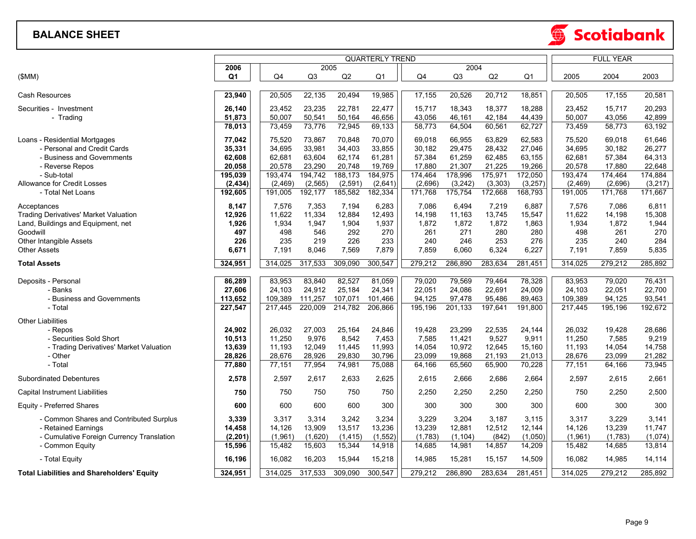#### **BALANCE SHEET**

|                                                              |                  |                  |                  | <b>FULL YEAR</b> |                        |                  |                  |                  |                  |                  |                  |                  |
|--------------------------------------------------------------|------------------|------------------|------------------|------------------|------------------------|------------------|------------------|------------------|------------------|------------------|------------------|------------------|
|                                                              | 2006             |                  | 2005             |                  | <b>QUARTERLY TREND</b> |                  | 2004             |                  |                  |                  |                  |                  |
| (\$MM)                                                       | Q <sub>1</sub>   | Q4               | Q3               | Q <sub>2</sub>   | Q <sub>1</sub>         | Q4               | Q <sub>3</sub>   | Q2               | Q <sub>1</sub>   | 2005             | 2004             | 2003             |
| <b>Cash Resources</b>                                        | 23,940           | 20,505           | 22,135           | 20,494           | 19,985                 | 17,155           | 20,526           | 20,712           | 18,851           | 20,505           | 17,155           | 20,581           |
| Securities - Investment                                      | 26,140           | 23,452           | 23,235           | 22,781           | 22,477                 | 15,717           | 18,343           | 18,377           | 18,288           | 23,452           | 15,717           | 20,293           |
| - Trading                                                    | 51,873<br>78,013 | 50,007<br>73,459 | 50,541<br>73,776 | 50,164<br>72,945 | 46,656<br>69,133       | 43,056<br>58,773 | 46,161<br>64,504 | 42,184<br>60,561 | 44,439<br>62,727 | 50,007<br>73,459 | 43,056<br>58,773 | 42,899<br>63,192 |
|                                                              |                  |                  |                  |                  |                        |                  |                  |                  |                  |                  |                  |                  |
| Loans - Residential Mortgages<br>- Personal and Credit Cards | 77,042<br>35,331 | 75,520<br>34,695 | 73,867<br>33,981 | 70,848<br>34,403 | 70,070<br>33,855       | 69,018<br>30,182 | 66,955<br>29,475 | 63,829<br>28,432 | 62,583<br>27,046 | 75,520<br>34,695 | 69,018<br>30,182 | 61,646<br>26,277 |
| - Business and Governments                                   | 62,608           | 62,681           | 63,604           | 62,174           | 61,281                 | 57,384           | 61,259           | 62,485           | 63,155           | 62,681           | 57,384           | 64,313           |
| - Reverse Repos                                              | 20,058           | 20,578           | 23,290           | 20,748           | 19,769                 | 17,880           | 21,307           | 21,225           | 19,266           | 20,578           | 17,880           | 22,648           |
| - Sub-total                                                  | 195,039          | 193,474          | 194,742          | 188,173          | 184,975                | 174,464          | 178,996          | 175,971          | 172,050          | 193,474          | 174,464          | 174,884          |
| <b>Allowance for Credit Losses</b>                           | (2, 434)         | (2, 469)         | (2, 565)         | (2, 591)         | (2,641)                | (2,696)          | (3, 242)         | (3, 303)         | (3, 257)         | (2, 469)         | (2,696)          | (3, 217)         |
| - Total Net Loans                                            | 192,605          | 191,005          | 192,177          | 185,582          | 182,334                | 171,768          | 175,754          | 172,668          | 168,793          | 191,005          | 171,768          | 171,667          |
| Acceptances                                                  | 8,147            | 7,576            | 7,353            | 7.194            | 6,283                  | 7.086            | 6.494            | 7,219            | 6,887            | 7,576            | 7,086            | 6,811            |
| <b>Trading Derivatives' Market Valuation</b>                 | 12,926           | 11,622           | 11,334           | 12,884           | 12,493                 | 14,198           | 11,163           | 13,745           | 15,547           | 11,622           | 14,198           | 15,308           |
| Land, Buildings and Equipment, net                           | 1,926            | 1,934            | 1,947            | 1,904            | 1,937                  | 1,872            | 1,872            | 1,872            | 1,863            | 1,934            | 1,872            | 1,944            |
| Goodwill                                                     | 497              | 498              | 546              | 292              | 270                    | 261              | 271              | 280              | 280              | 498              | 261              | 270              |
| Other Intangible Assets<br><b>Other Assets</b>               | 226<br>6,671     | 235<br>7,191     | 219<br>8,046     | 226<br>7,569     | 233<br>7,879           | 240<br>7,859     | 246<br>6,060     | 253<br>6,324     | 276<br>6,227     | 235<br>7,191     | 240<br>7,859     | 284<br>5,835     |
| <b>Total Assets</b>                                          | 324,951          | 314,025          | 317,533          | 309,090          | 300,547                | 279,212          | 286,890          | 283,634          | 281,451          | 314,025          | 279,212          | 285,892          |
|                                                              |                  |                  |                  |                  |                        |                  |                  |                  |                  |                  |                  |                  |
| Deposits - Personal                                          | 86,289           | 83,953           | 83,840           | 82,527           | 81,059                 | 79,020           | 79,569           | 79,464           | 78,328           | 83,953           | 79,020           | 76,431           |
| - Banks                                                      | 27,606           | 24,103           | 24,912           | 25,184           | 24,341                 | 22,051           | 24,086           | 22,691           | 24,009           | 24,103           | 22,051           | 22,700           |
| - Business and Governments                                   | 113,652          | 109,389          | 111,257          | 107,071          | 101,466                | 94,125           | 97,478           | 95,486           | 89,463           | 109,389          | 94,125           | 93,541           |
| - Total                                                      | 227,547          | 217,445          | 220,009          | 214,782          | 206,866                | 195,196          | 201,133          | 197,641          | 191,800          | 217,445          | 195,196          | 192,672          |
| <b>Other Liabilities</b>                                     |                  |                  |                  |                  |                        |                  |                  | 22,535           |                  |                  |                  |                  |
| - Repos<br>- Securities Sold Short                           | 24,902           | 26,032<br>11,250 | 27,003<br>9,976  | 25,164<br>8,542  | 24,846<br>7,453        | 19,428           | 23,299           | 9,527            | 24,144           | 26,032<br>11,250 | 19,428           | 28,686<br>9,219  |
| - Trading Derivatives' Market Valuation                      | 10,513<br>13,639 | 11,193           | 12,049           | 11,445           | 11,993                 | 7,585<br>14,054  | 11,421<br>10,972 | 12,645           | 9,911<br>15,160  | 11,193           | 7,585<br>14,054  | 14,758           |
| - Other                                                      | 28,826           | 28,676           | 28,926           | 29,830           | 30,796                 | 23,099           | 19,868           | 21,193           | 21,013           | 28,676           | 23,099           | 21,282           |
| - Total                                                      | 77,880           | 77,151           | 77,954           | 74,981           | 75,088                 | 64,166           | 65,560           | 65,900           | 70,228           | 77,151           | 64,166           | 73,945           |
| <b>Subordinated Debentures</b>                               | 2,578            | 2,597            | 2,617            | 2,633            | 2,625                  | 2,615            | 2,666            | 2,686            | 2,664            | 2,597            | 2,615            | 2,661            |
| Capital Instrument Liabilities                               | 750              | 750              | 750              | 750              | 750                    | 2,250            | 2,250            | 2,250            | 2,250            | 750              | 2,250            | 2,500            |
| Equity - Preferred Shares                                    | 600              | 600              | 600              | 600              | 300                    | 300              | 300              | 300              | 300              | 600              | 300              | 300              |
| - Common Shares and Contributed Surplus                      | 3,339            | 3,317            | 3,314            | 3,242            | 3,234                  | 3.229            | 3,204            | 3,187            | 3,115            | 3,317            | 3,229            | 3,141            |
| - Retained Earnings                                          | 14,458           | 14,126           | 13,909           | 13,517           | 13,236                 | 13,239           | 12,881           | 12,512           | 12,144           | 14,126           | 13,239           | 11,747           |
| - Cumulative Foreign Currency Translation                    | (2, 201)         | (1,961)          | (1,620)          | (1, 415)         | (1, 552)               | (1,783)          | (1, 104)         | (842)            | (1,050)          | (1,961)          | (1,783)          | (1,074)          |
| - Common Equity                                              | 15,596           | 15,482           | 15,603           | 15,344           | 14,918                 | 14,685           | 14,981           | 14,857           | 14,209           | 15,482           | 14,685           | 13,814           |
| - Total Equity                                               | 16,196           | 16,082           | 16,203           | 15,944           | 15,218                 | 14,985           | 15,281           | 15,157           | 14,509           | 16,082           | 14,985           | 14,114           |
| <b>Total Liabilities and Shareholders' Equity</b>            | 324,951          | 314,025          | 317,533          | 309,090          | 300,547                | 279,212          | 286,890          | 283,634          | 281,451          | 314,025          | 279,212          | 285,892          |

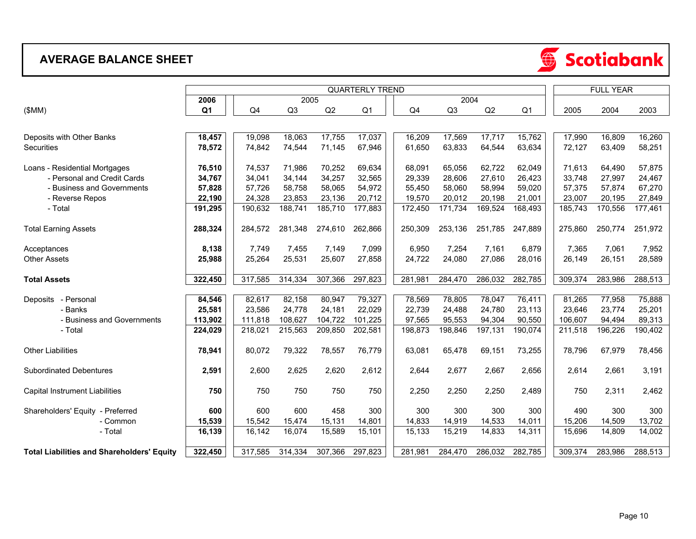## **AVERAGE BALANCE SHEET**



|                                                   | <b>QUARTERLY TREND</b> |         |                |         |                |         |         |         |                |         | <b>FULL YEAR</b> |         |  |
|---------------------------------------------------|------------------------|---------|----------------|---------|----------------|---------|---------|---------|----------------|---------|------------------|---------|--|
|                                                   | 2006                   |         | 2004<br>2005   |         |                |         |         |         |                |         |                  |         |  |
| (SMM)                                             | Q <sub>1</sub>         | Q4      | Q <sub>3</sub> | Q2      | Q <sub>1</sub> | Q4      | Q3      | Q2      | Q <sub>1</sub> | 2005    | 2004             | 2003    |  |
|                                                   |                        |         |                |         |                |         |         |         |                |         |                  |         |  |
| Deposits with Other Banks                         | 18,457                 | 19,098  | 18,063         | 17,755  | 17,037         | 16,209  | 17,569  | 17,717  | 15,762         | 17,990  | 16,809           | 16,260  |  |
| <b>Securities</b>                                 | 78,572                 | 74,842  | 74,544         | 71,145  | 67,946         | 61,650  | 63,833  | 64,544  | 63,634         | 72,127  | 63,409           | 58,251  |  |
| Loans - Residential Mortgages                     | 76,510                 | 74,537  | 71,986         | 70,252  | 69,634         | 68,091  | 65,056  | 62,722  | 62,049         | 71,613  | 64,490           | 57,875  |  |
| - Personal and Credit Cards                       | 34,767                 | 34,041  | 34,144         | 34,257  | 32,565         | 29,339  | 28,606  | 27,610  | 26,423         | 33,748  | 27,997           | 24,467  |  |
| - Business and Governments                        | 57,828                 | 57,726  | 58,758         | 58,065  | 54,972         | 55,450  | 58,060  | 58,994  | 59,020         | 57,375  | 57,874           | 67,270  |  |
| - Reverse Repos                                   | 22,190                 | 24,328  | 23,853         | 23,136  | 20,712         | 19,570  | 20,012  | 20,198  | 21,001         | 23,007  | 20,195           | 27,849  |  |
| - Total                                           | 191,295                | 190,632 | 188,741        | 185,710 | 177,883        | 172,450 | 171,734 | 169,524 | 168,493        | 185,743 | 170,556          | 177,461 |  |
| <b>Total Earning Assets</b>                       | 288,324                | 284,572 | 281.348        | 274,610 | 262,866        | 250,309 | 253,136 | 251,785 | 247,889        | 275,860 | 250,774          | 251,972 |  |
| Acceptances                                       | 8,138                  | 7,749   | 7,455          | 7,149   | 7,099          | 6,950   | 7,254   | 7,161   | 6,879          | 7,365   | 7,061            | 7,952   |  |
| <b>Other Assets</b>                               | 25,988                 | 25,264  | 25,531         | 25,607  | 27,858         | 24,722  | 24,080  | 27,086  | 28,016         | 26,149  | 26,151           | 28,589  |  |
| <b>Total Assets</b>                               | 322,450                | 317,585 | 314,334        | 307,366 | 297,823        | 281,981 | 284,470 | 286,032 | 282,785        | 309,374 | 283,986          | 288,513 |  |
| - Personal<br>Deposits                            | 84,546                 | 82,617  | 82,158         | 80,947  | 79,327         | 78,569  | 78,805  | 78,047  | 76,411         | 81,265  | 77,958           | 75,888  |  |
| - Banks                                           | 25,581                 | 23,586  | 24,778         | 24,181  | 22,029         | 22,739  | 24,488  | 24,780  | 23,113         | 23,646  | 23,774           | 25,201  |  |
| - Business and Governments                        | 113,902                | 111,818 | 108,627        | 104,722 | 101,225        | 97,565  | 95,553  | 94,304  | 90,550         | 106,607 | 94,494           | 89,313  |  |
| - Total                                           | 224,029                | 218,021 | 215,563        | 209,850 | 202,581        | 198,873 | 198,846 | 197,131 | 190,074        | 211,518 | 196,226          | 190,402 |  |
| <b>Other Liabilities</b>                          | 78,941                 | 80,072  | 79,322         | 78,557  | 76,779         | 63,081  | 65,478  | 69,151  | 73,255         | 78,796  | 67,979           | 78,456  |  |
| <b>Subordinated Debentures</b>                    | 2,591                  | 2,600   | 2,625          | 2,620   | 2,612          | 2,644   | 2,677   | 2,667   | 2,656          | 2,614   | 2,661            | 3,191   |  |
| Capital Instrument Liabilities                    | 750                    | 750     | 750            | 750     | 750            | 2,250   | 2,250   | 2,250   | 2,489          | 750     | 2,311            | 2,462   |  |
| Shareholders' Equity - Preferred                  | 600                    | 600     | 600            | 458     | 300            | 300     | 300     | 300     | 300            | 490     | 300              | 300     |  |
| - Common                                          | 15,539                 | 15,542  | 15,474         | 15,131  | 14,801         | 14,833  | 14,919  | 14,533  | 14,011         | 15,206  | 14,509           | 13,702  |  |
| - Total                                           | 16,139                 | 16,142  | 16,074         | 15,589  | 15,101         | 15,133  | 15,219  | 14,833  | 14,311         | 15,696  | 14,809           | 14,002  |  |
| <b>Total Liabilities and Shareholders' Equity</b> | 322,450                | 317,585 | 314,334        | 307,366 | 297,823        | 281,981 | 284,470 | 286,032 | 282,785        | 309,374 | 283,986          | 288,513 |  |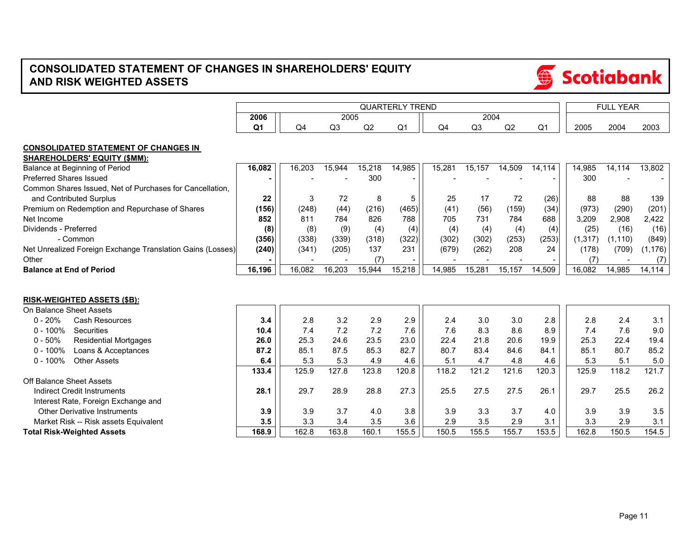## **CONSOLIDATED STATEMENT OF CHANGES IN SHAREHOLDERS' EQUITY AND RISK WEIGHTED ASSETS**



 $\bigoplus$ 

**Scotiabank**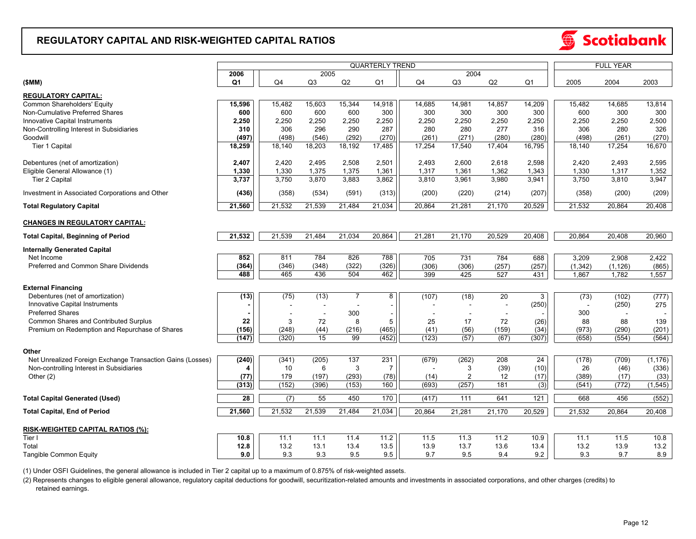#### **REGULATORY CAPITAL AND RISK-WEIGHTED CAPITAL RATIOS**



(1) Under OSFI Guidelines, the general allowance is included in Tier 2 capital up to a maximum of 0.875% of risk-weighted assets.

 retained earnings. (2) Represents changes to eligible general allowance, regulatory capital deductions for goodwill, securitization-related amounts and investments in associated corporations, and other charges (credits) to

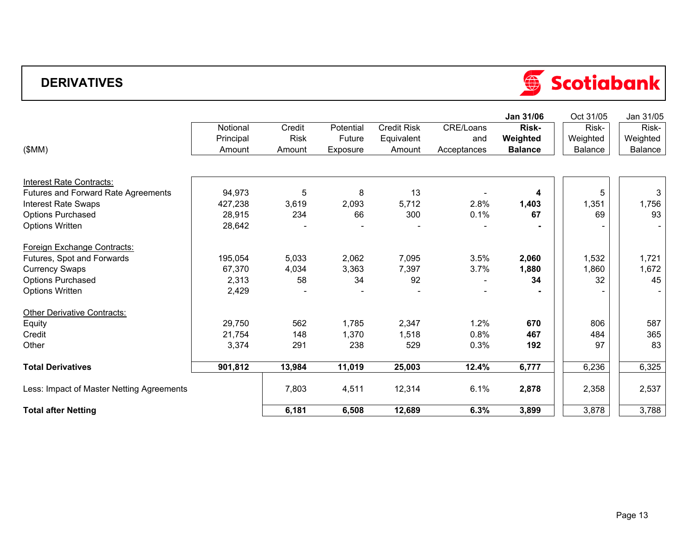## **DERIVATIVES**



|                                           |           |             |           |                    |             | Jan 31/06      | Oct 31/05      | Jan 31/05 |
|-------------------------------------------|-----------|-------------|-----------|--------------------|-------------|----------------|----------------|-----------|
|                                           | Notional  | Credit      | Potential | <b>Credit Risk</b> | CRE/Loans   | Risk-          | Risk-          | Risk-     |
|                                           | Principal | <b>Risk</b> | Future    | Equivalent         | and         | Weighted       | Weighted       | Weighted  |
| (SMM)                                     | Amount    | Amount      | Exposure  | Amount             | Acceptances | <b>Balance</b> | <b>Balance</b> | Balance   |
|                                           |           |             |           |                    |             |                |                |           |
| Interest Rate Contracts:                  |           |             |           |                    |             |                |                |           |
| Futures and Forward Rate Agreements       | 94,973    | 5           | 8         | 13                 |             | 4              | 5              | 3         |
| <b>Interest Rate Swaps</b>                | 427,238   | 3,619       | 2,093     | 5,712              | 2.8%        | 1,403          | 1,351          | 1,756     |
| <b>Options Purchased</b>                  | 28,915    | 234         | 66        | 300                | 0.1%        | 67             | 69             | 93        |
| <b>Options Written</b>                    | 28,642    |             |           |                    |             |                |                |           |
| Foreign Exchange Contracts:               |           |             |           |                    |             |                |                |           |
| Futures, Spot and Forwards                | 195,054   | 5,033       | 2,062     | 7,095              | 3.5%        | 2,060          | 1,532          | 1,721     |
| <b>Currency Swaps</b>                     | 67,370    | 4,034       | 3,363     | 7,397              | 3.7%        | 1,880          | 1,860          | 1,672     |
| <b>Options Purchased</b>                  | 2,313     | 58          | 34        | 92                 |             | 34             | 32             | 45        |
| <b>Options Written</b>                    | 2,429     |             |           |                    |             |                |                |           |
| <b>Other Derivative Contracts:</b>        |           |             |           |                    |             |                |                |           |
| Equity                                    | 29,750    | 562         | 1,785     | 2,347              | 1.2%        | 670            | 806            | 587       |
| Credit                                    | 21,754    | 148         | 1,370     | 1,518              | 0.8%        | 467            | 484            | 365       |
| Other                                     | 3,374     | 291         | 238       | 529                | 0.3%        | 192            | 97             | 83        |
| <b>Total Derivatives</b>                  | 901,812   | 13,984      | 11,019    | 25,003             | 12.4%       | 6,777          | 6,236          | 6,325     |
| Less: Impact of Master Netting Agreements |           | 7,803       | 4,511     | 12,314             | 6.1%        | 2,878          | 2,358          | 2,537     |
| <b>Total after Netting</b>                |           | 6,181       | 6,508     | 12,689             | 6.3%        | 3,899          | 3,878          | 3,788     |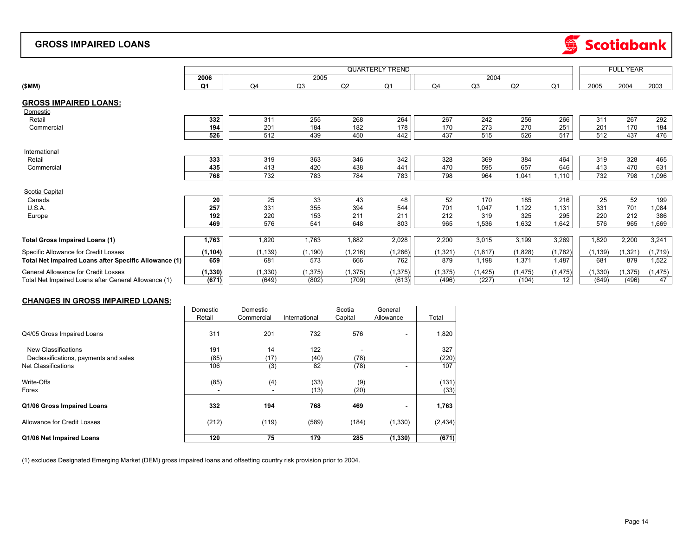#### **GROSS IMPAIRED LOANS**



|                                                       |          |          |              | <b>FULL YEAR</b> |          |            |          |          |          |            |          |          |
|-------------------------------------------------------|----------|----------|--------------|------------------|----------|------------|----------|----------|----------|------------|----------|----------|
|                                                       | 2006     |          | 2005<br>2004 |                  |          |            |          |          |          |            |          |          |
| (SMM)                                                 | Q1       | Q4       | Q3           | Q2               | Q1       | Q4         | Q3       | Q2       | Q1       | 2005       | 2004     | 2003     |
| <b>GROSS IMPAIRED LOANS:</b>                          |          |          |              |                  |          |            |          |          |          |            |          |          |
| Domestic                                              |          |          |              |                  |          |            |          |          |          |            |          |          |
| Retail                                                | 332      | 311      | 255          | 268              | 264      | 267        | 242      | 256      | 266      | 311        | 267      | 292      |
| Commercial                                            | 194      | 201      | 184          | 182              | 178      | 170        | 273      | 270      | 251      | 201        | 170      | 184      |
|                                                       | 526      | 512      | 439          | 450              | 442      | 437        | 515      | 526      | 517      | 512        | 437      | 476      |
|                                                       |          |          |              |                  |          |            |          |          |          |            |          |          |
| International                                         |          |          |              | 346              |          |            | 369      | 384      |          |            |          |          |
| Retail                                                | 333      | 319      | 363          |                  | 342      | 328<br>470 |          |          | 464      | 319<br>413 | 328      | 465      |
| Commercial                                            | 435      | 413      | 420          | 438              | 441      |            | 595      | 657      | 646      |            | 470      | 631      |
|                                                       | 768      | 732      | 783          | 784              | 783      | 798        | 964      | 1,041    | 1,110    | 732        | 798      | 1,096    |
| Scotia Capital                                        |          |          |              |                  |          |            |          |          |          |            |          |          |
| Canada                                                | 20       | 25       | 33           | 43               | 48       | 52         | 170      | 185      | 216      | 25         | 52       | 199      |
| U.S.A.                                                | 257      | 331      | 355          | 394              | 544      | 701        | 1.047    | 1,122    | .131     | 331        | 701      | 1,084    |
| Europe                                                | 192      | 220      | 153          | 211              | 211      | 212        | 319      | 325      | 295      | 220        | 212      | 386      |
|                                                       | 469      | 576      | 541          | 648              | 803      | 965        | 1,536    | 1,632    | 1,642    | 576        | 965      | 1,669    |
|                                                       |          |          |              |                  |          |            |          |          |          |            |          |          |
| <b>Total Gross Impaired Loans (1)</b>                 | 1,763    | 1,820    | 1,763        | 1,882            | 2,028    | 2,200      | 3,015    | 3,199    | 3,269    | 1,820      | 2,200    | 3,241    |
| Specific Allowance for Credit Losses                  | (1, 104) | (1, 139) | (1, 190)     | (1, 216)         | (1, 266) | (1, 321)   | (1, 817) | (1,828)  | (1,782)  | (1, 139)   | (1, 321) | (1,719)  |
| Total Net Impaired Loans after Specific Allowance (1) | 659      | 681      | 573          | 666              | 762      | 879        | 1,198    | 1,371    | 1,487    | 681        | 879      | 1,522    |
| General Allowance for Credit Losses                   | (1, 330) | (1, 330) | (1, 375)     | (1, 375)         | (1, 375) | (1, 375)   | (1, 425) | (1, 475) | (1, 475) | (1, 330)   | (1, 375) | (1, 475) |
| Total Net Impaired Loans after General Allowance (1)  | (671)    | (649)    | (802)        | (709)            | (613)    | (496)      | (227)    | (104)    | 12       | (649)      | (496)    | 47       |

#### **CHANGES IN GROSS IMPAIRED LOANS:**

|                                       | Domestic<br>Retail | Domestic<br>Commercial | International | Scotia<br>Capital | General<br>Allowance | Total    |
|---------------------------------------|--------------------|------------------------|---------------|-------------------|----------------------|----------|
|                                       |                    |                        |               |                   |                      |          |
| Q4/05 Gross Impaired Loans            | 311                | 201                    | 732           | 576               |                      | 1,820    |
| <b>New Classifications</b>            | 191                | 14                     | 122           |                   |                      | 327      |
| Declassifications, payments and sales | (85)               | (17)                   | (40)          | (78)              |                      | (220)    |
| <b>Net Classifications</b>            | 106                | (3)                    | 82            | (78)              |                      | 107      |
| Write-Offs                            | (85)               | (4)                    | (33)          | (9)               |                      | (131)    |
| Forex                                 | ۰                  | $\sim$                 | (13)          | (20)              |                      | (33)     |
| Q1/06 Gross Impaired Loans            | 332                | 194                    | 768           | 469               |                      | 1,763    |
| Allowance for Credit Losses           | (212)              | (119)                  | (589)         | (184)             | (1,330)              | (2, 434) |
| Q1/06 Net Impaired Loans              | 120                | 75                     | 179           | 285               | (1, 330)             | (671)    |

(1) excludes Designated Emerging Market (DEM) gross impaired loans and offsetting country risk provision prior to 2004.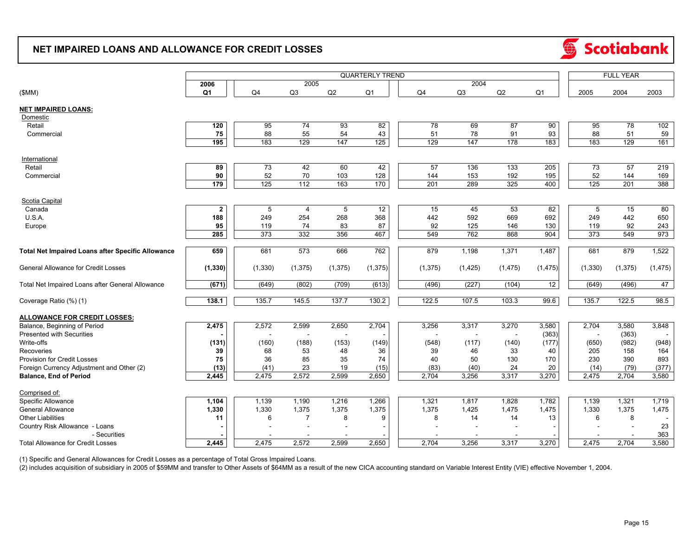### **NET IMPAIRED LOANS AND ALLOWANCE FOR CREDIT LOSSES**



|                                                          | <b>QUARTERLY TREND</b> |                |                |          |                |    |          |                |          |                | <b>FULL YEAR</b> |          |          |
|----------------------------------------------------------|------------------------|----------------|----------------|----------|----------------|----|----------|----------------|----------|----------------|------------------|----------|----------|
|                                                          | 2006                   | 2005<br>2004   |                |          |                |    |          |                |          |                |                  |          |          |
| (SMM)                                                    | Q <sub>1</sub>         | Q <sub>4</sub> | Q3             | Q2       | Q <sub>1</sub> | Q4 |          | Q <sub>3</sub> | Q2       | Q <sub>1</sub> | 2005             | 2004     | 2003     |
| <b>NET IMPAIRED LOANS:</b>                               |                        |                |                |          |                |    |          |                |          |                |                  |          |          |
| Domestic                                                 |                        |                |                |          |                |    |          |                |          |                |                  |          |          |
| Retail                                                   | 120                    | 95             | 74             | 93       | 82             |    | 78       | 69             | 87       | 90             | 95               | 78       | 102      |
| Commercial                                               | 75                     | 88             | 55             | 54       | 43             |    | 51       | 78             | 91       | 93             | 88               | 51       | 59       |
|                                                          | 195                    | 183            | 129            | 147      | 125            |    | 129      | 147            | 178      | 183            | 183              | 129      | 161      |
|                                                          |                        |                |                |          |                |    |          |                |          |                |                  |          |          |
| International                                            |                        |                |                |          |                |    |          |                |          |                |                  |          |          |
| Retail                                                   | 89                     | 73             | 42             | 60       | 42             |    | 57       | 136            | 133      | 205            | 73               | 57       | 219      |
| Commercial                                               | 90                     | 52             | 70             | 103      | 128            |    | 144      | 153            | 192      | 195            | 52               | 144      | 169      |
|                                                          | 179                    | $\frac{1}{25}$ | 112            | 163      | 170            |    | 201      | 289            | 325      | 400            | 125              | 201      | 388      |
| Scotia Capital                                           |                        |                |                |          |                |    |          |                |          |                |                  |          |          |
| Canada                                                   | $\mathbf{2}$           | 5              | 4              | 5        | 12             |    | 15       | 45             | 53       | 82             | 5                | 15       | 80       |
| U.S.A.                                                   | 188                    | 249            | 254            | 268      | 368            |    | 442      | 592            | 669      | 692            | 249              | 442      | 650      |
| Europe                                                   | 95                     | 119            | 74             | 83       | 87             |    | 92       | 125            | 146      | 130            | 119              | 92       | 243      |
|                                                          | 285                    | 373            | 332            | 356      | 467            |    | 549      | 762            | 868      | 904            | 373              | 549      | 973      |
|                                                          |                        |                |                |          |                |    |          |                |          |                |                  |          |          |
| <b>Total Net Impaired Loans after Specific Allowance</b> | 659                    | 681            | 573            | 666      | 762            |    | 879      | 1,198          | 1,371    | 1,487          | 681              | 879      | 1,522    |
| General Allowance for Credit Losses                      | (1, 330)               | (1, 330)       | (1, 375)       | (1, 375) | (1, 375)       |    | (1, 375) | (1, 425)       | (1, 475) | (1, 475)       | (1, 330)         | (1, 375) | (1, 475) |
|                                                          |                        |                |                |          |                |    |          |                |          |                |                  |          |          |
| Total Net Impaired Loans after General Allowance         | (671)                  | (649)          | (802)          | (709)    | (613)          |    | (496)    | (227)          | (104)    | 12             | (649)            | (496)    | 47       |
| Coverage Ratio (%) (1)                                   | 138.1                  | 135.7          | 145.5          | 137.7    | 130.2          |    | 122.5    | 107.5          | 103.3    | 99.6           | 135.7            | 122.5    | 98.5     |
|                                                          |                        |                |                |          |                |    |          |                |          |                |                  |          |          |
| <b>ALLOWANCE FOR CREDIT LOSSES:</b>                      |                        |                |                |          |                |    |          |                |          |                |                  |          |          |
| Balance, Beginning of Period                             | 2,475                  | 2,572          | 2,599          | 2,650    | 2,704          |    | 3,256    | 3,317          | 3,270    | 3,580          | 2,704            | 3,580    | 3,848    |
| <b>Presented with Securities</b>                         |                        |                | $\overline{a}$ | $\sim$   |                |    |          | $\sim$         | $\sim$   | (363)          |                  | (363)    |          |
| Write-offs                                               | (131)                  | (160)          | (188)          | (153)    | (149)          |    | (548)    | (117)          | (140)    | (177)          | (650)            | (982)    | (948)    |
| Recoveries                                               | 39                     | 68             | 53             | 48       | 36             |    | 39       | 46             | 33       | 40             | 205              | 158      | 164      |
| Provision for Credit Losses                              | 75                     | 36             | 85             | 35       | 74             |    | 40       | 50             | 130      | 170            | 230              | 390      | 893      |
| Foreign Currency Adjustment and Other (2)                | (13)                   | (41)           | 23             | 19       | (15)           |    | (83)     | (40)           | 24       | 20             | (14)             | (79)     | (377)    |
| <b>Balance, End of Period</b>                            | 2,445                  | 2,475          | 2,572          | 2,599    | 2,650          |    | 2,704    | 3,256          | 3,317    | 3,270          | 2,475            | 2,704    | 3,580    |
| Comprised of:                                            |                        |                |                |          |                |    |          |                |          |                |                  |          |          |
| Specific Allowance                                       | 1,104                  | 1,139          | 1,190          | 1,216    | 1,266          |    | 1,321    | 1,817          | 1,828    | 1,782          | 1,139            | 1,321    | 1,719    |
| <b>General Allowance</b>                                 | 1,330                  | 1,330          | 1,375          | 1,375    | 1,375          |    | 1,375    | 1,425          | 1,475    | 1,475          | 1,330            | 1,375    | 1,475    |
| <b>Other Liabilities</b>                                 | 11                     | 6              | $\overline{7}$ | 8        | -9             |    | 8        | 14             | 14       | 13             | 6                | 8        |          |
| Country Risk Allowance - Loans                           |                        |                |                |          |                |    |          |                |          |                |                  |          | 23       |
| - Securities                                             |                        |                |                |          |                |    |          |                |          |                |                  |          | 363      |
| <b>Total Allowance for Credit Losses</b>                 | 2,445                  | 2,475          | 2,572          | 2,599    | 2,650          |    | 2,704    | 3,256          | 3,317    | 3,270          | 2,475            | 2,704    | 3,580    |

(1) Specific and General Allowances for Credit Losses as a percentage of Total Gross Impaired Loans.

(2) includes acquisition of subsidiary in 2005 of \$59MM and transfer to Other Assets of \$64MM as a result of the new CICA accounting standard on Variable Interest Entity (VIE) effective November 1, 2004.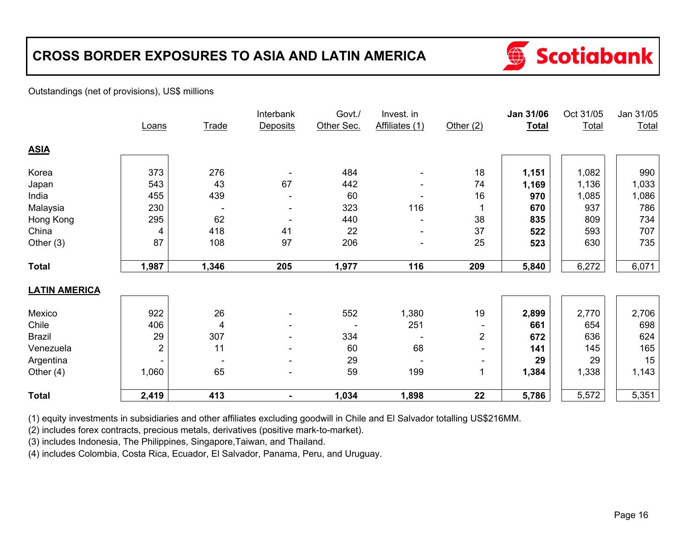# **CROSS BORDER EXPOSURES TO ASIA AND LATIN AMERICA**



#### Outstandings (net of provisions), US\$ millions

|                      |       |              | Interbank                | Govt./     | Invest. in     |                | Jan 31/06    | Oct 31/05    | Jan 31/05 |
|----------------------|-------|--------------|--------------------------|------------|----------------|----------------|--------------|--------------|-----------|
|                      | Loans | <b>Trade</b> | Deposits                 | Other Sec. | Affiliates (1) | Other $(2)$    | <b>Total</b> | <b>Total</b> | Total     |
| <b>ASIA</b>          |       |              |                          |            |                |                |              |              |           |
| Korea                | 373   | 276          |                          | 484        |                | 18             | 1,151        | 1,082        | 990       |
| Japan                | 543   | 43           | 67                       | 442        |                | 74             | 1,169        | 1,136        | 1,033     |
| India                | 455   | 439          |                          | 60         |                | 16             | 970          | 1,085        | 1,086     |
| Malaysia             | 230   |              |                          | 323        | 116            |                | 670          | 937          | 786       |
| Hong Kong            | 295   | 62           |                          | 440        |                | 38             | 835          | 809          | 734       |
| China                | 4     | 418          | 41                       | 22         |                | 37             | 522          | 593          | 707       |
| Other $(3)$          | 87    | 108          | 97                       | 206        | $\overline{a}$ | 25             | 523          | 630          | 735       |
| <b>Total</b>         | 1,987 | 1,346        | 205                      | 1,977      | 116            | 209            | 5,840        | 6,272        | 6,071     |
| <b>LATIN AMERICA</b> |       |              |                          |            |                |                |              |              |           |
| Mexico               | 922   | 26           | $\blacksquare$           | 552        | 1,380          | 19             | 2,899        | 2,770        | 2,706     |
| Chile                | 406   | 4            |                          |            | 251            |                | 661          | 654          | 698       |
| <b>Brazil</b>        | 29    | 307          | $\blacksquare$           | 334        |                | $\overline{2}$ | 672          | 636          | 624       |
| Venezuela            | 2     | 11           |                          | 60         | 68             | -              | 141          | 145          | 165       |
| Argentina            | Ξ.    |              | $\overline{\phantom{a}}$ | 29         |                | -              | 29           | 29           | 15        |
| Other $(4)$          | 1,060 | 65           | $\overline{\phantom{0}}$ | 59         | 199            | 1              | 1,384        | 1,338        | 1,143     |
| <b>Total</b>         | 2,419 | 413          |                          | 1,034      | 1,898          | 22             | 5,786        | 5,572        | 5,351     |

(1) equity investments in subsidiaries and other affiliates excluding goodwill in Chile and El Salvador totalling US\$216MM.

(2) includes forex contracts, precious metals, derivatives (positive mark-to-market).

(3) includes Indonesia, The Philippines, Singapore,Taiwan, and Thailand.

(4) includes Colombia, Costa Rica, Ecuador, El Salvador, Panama, Peru, and Uruguay.